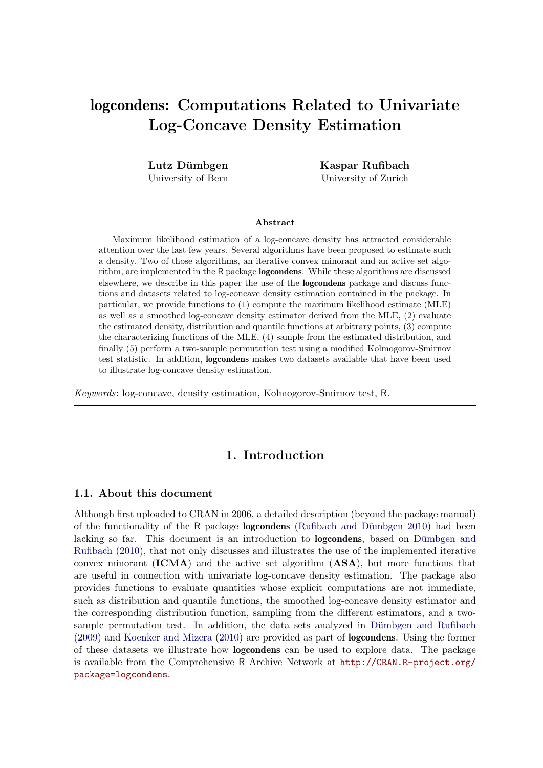# logcondens: Computations Related to Univariate Log-Concave Density Estimation

Lutz Dümbgen University of Bern

Kaspar Rufibach University of Zurich

#### Abstract

Maximum likelihood estimation of a log-concave density has attracted considerable attention over the last few years. Several algorithms have been proposed to estimate such a density. Two of those algorithms, an iterative convex minorant and an active set algorithm, are implemented in the R package logcondens. While these algorithms are discussed elsewhere, we describe in this paper the use of the logcondens package and discuss functions and datasets related to log-concave density estimation contained in the package. In particular, we provide functions to (1) compute the maximum likelihood estimate (MLE) as well as a smoothed log-concave density estimator derived from the MLE, (2) evaluate the estimated density, distribution and quantile functions at arbitrary points, (3) compute the characterizing functions of the MLE, (4) sample from the estimated distribution, and finally (5) perform a two-sample permutation test using a modified Kolmogorov-Smirnov test statistic. In addition, logcondens makes two datasets available that have been used to illustrate log-concave density estimation.

Keywords: log-concave, density estimation, Kolmogorov-Smirnov test, R.

### 1. Introduction

#### 1.1. About this document

Although first uploaded to CRAN in 2006, a detailed description (beyond the package manual) of the functionality of the R package **logcondens** (Rufibach and Dümbgen  $2010$ ) had been lacking so far. This document is an introduction to **logcondens**, based on Dümbgen and [Rufibach](#page-25-0) [\(2010\)](#page-25-0), that not only discusses and illustrates the use of the implemented iterative convex minorant  $(ICMA)$  and the active set algorithm  $(ASA)$ , but more functions that are useful in connection with univariate log-concave density estimation. The package also provides functions to evaluate quantities whose explicit computations are not immediate, such as distribution and quantile functions, the smoothed log-concave density estimator and the corresponding distribution function, sampling from the different estimators, and a twosample permutation test. In addition, the data sets analyzed in Dümbgen and Rufibach [\(2009\)](#page-25-1) and [Koenker and Mizera](#page-26-1) [\(2010\)](#page-26-1) are provided as part of logcondens. Using the former of these datasets we illustrate how logcondens can be used to explore data. The package is available from the Comprehensive R Archive Network at [http://CRAN.R-project.org/](http://CRAN.R-project.org/package=logcondens) [package=logcondens](http://CRAN.R-project.org/package=logcondens).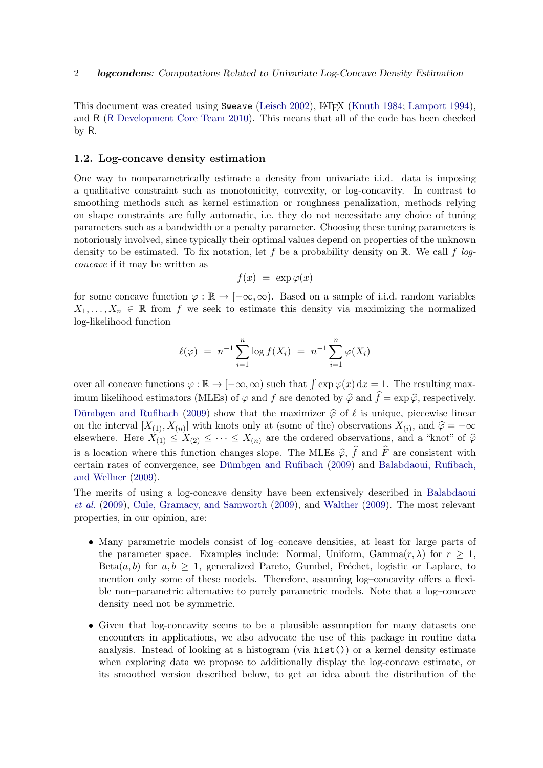This document was created using Sweave [\(Leisch](#page-26-2) [2002\)](#page-26-2), L<sup>AT</sup>FX [\(Knuth](#page-26-3) [1984;](#page-26-3) [Lamport](#page-26-4) [1994\)](#page-26-4), and R (R [Development Core Team](#page-26-5) [2010\)](#page-26-5). This means that all of the code has been checked by R.

#### <span id="page-1-0"></span>1.2. Log-concave density estimation

One way to nonparametrically estimate a density from univariate i.i.d. data is imposing a qualitative constraint such as monotonicity, convexity, or log-concavity. In contrast to smoothing methods such as kernel estimation or roughness penalization, methods relying on shape constraints are fully automatic, i.e. they do not necessitate any choice of tuning parameters such as a bandwidth or a penalty parameter. Choosing these tuning parameters is notoriously involved, since typically their optimal values depend on properties of the unknown density to be estimated. To fix notation, let f be a probability density on  $\mathbb{R}$ . We call f logconcave if it may be written as

$$
f(x) = \exp \varphi(x)
$$

for some concave function  $\varphi : \mathbb{R} \to [-\infty, \infty)$ . Based on a sample of i.i.d. random variables  $X_1, \ldots, X_n \in \mathbb{R}$  from f we seek to estimate this density via maximizing the normalized log-likelihood function

$$
\ell(\varphi) = n^{-1} \sum_{i=1}^{n} \log f(X_i) = n^{-1} \sum_{i=1}^{n} \varphi(X_i)
$$

over all concave functions  $\varphi : \mathbb{R} \to [-\infty, \infty)$  such that  $\int \exp \varphi(x) dx = 1$ . The resulting maximum likelihood estimators (MLEs) of  $\varphi$  and f are denoted by  $\hat{\varphi}$  and  $\hat{f} = \exp \hat{\varphi}$ , respectively. Dümbgen and Rufibach [\(2009\)](#page-25-1) show that the maximizer  $\hat{\varphi}$  of  $\ell$  is unique, piecewise linear on the interval  $[X_{(1)}, X_{(n)}]$  with knots only at (some of the) observations  $X_{(i)}$ , and  $\hat{\varphi} = -\infty$ elsewhere. Here  $X_{(1)} \leq X_{(2)} \leq \cdots \leq X_{(n)}$  are the ordered observations, and a "knot" of  $\hat{\varphi}$ is a location where this function changes slope. The MLEs  $\hat{\varphi}$ ,  $\hat{f}$  and  $\hat{F}$  are consistent with certain rates of convergence, see Dümbgen and Rufibach [\(2009\)](#page-25-1) and [Balabdaoui, Rufibach,](#page-25-2) [and Wellner](#page-25-2) [\(2009\)](#page-25-2).

The merits of using a log-concave density have been extensively described in [Balabdaoui](#page-25-2) [et al.](#page-25-2) [\(2009\)](#page-25-2), [Cule, Gramacy, and Samworth](#page-25-3) [\(2009\)](#page-25-3), and [Walther](#page-27-0) [\(2009\)](#page-27-0). The most relevant properties, in our opinion, are:

- Many parametric models consist of log–concave densities, at least for large parts of the parameter space. Examples include: Normal, Uniform, Gamma $(r, \lambda)$  for  $r > 1$ , Beta $(a, b)$  for  $a, b > 1$ , generalized Pareto, Gumbel, Fréchet, logistic or Laplace, to mention only some of these models. Therefore, assuming log–concavity offers a flexible non–parametric alternative to purely parametric models. Note that a log–concave density need not be symmetric.
- Given that log-concavity seems to be a plausible assumption for many datasets one encounters in applications, we also advocate the use of this package in routine data analysis. Instead of looking at a histogram (via hist()) or a kernel density estimate when exploring data we propose to additionally display the log-concave estimate, or its smoothed version described below, to get an idea about the distribution of the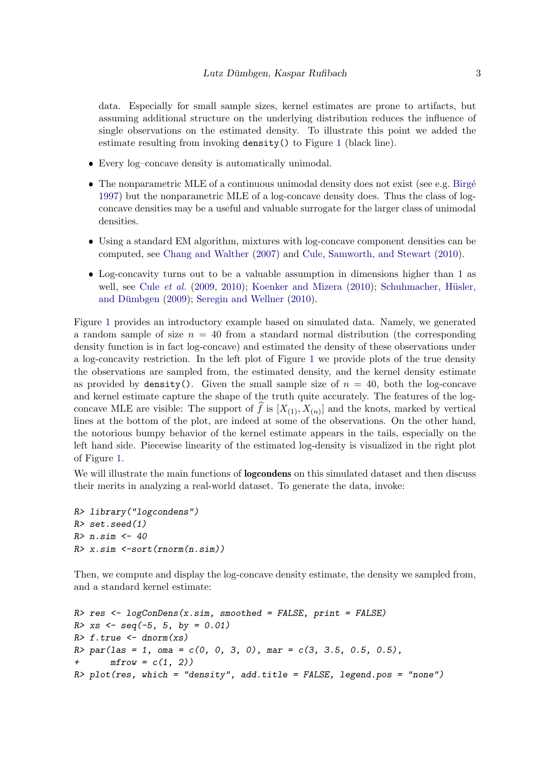data. Especially for small sample sizes, kernel estimates are prone to artifacts, but assuming additional structure on the underlying distribution reduces the influence of single observations on the estimated density. To illustrate this point we added the estimate resulting from invoking density() to Figure [1](#page-3-0) (black line).

- Every log–concave density is automatically unimodal.
- The nonparametric MLE of a continuous unimodal density does not exist (see e.g. Birgé [1997\)](#page-25-4) but the nonparametric MLE of a log-concave density does. Thus the class of logconcave densities may be a useful and valuable surrogate for the larger class of unimodal densities.
- Using a standard EM algorithm, mixtures with log-concave component densities can be computed, see [Chang and Walther](#page-25-5) [\(2007\)](#page-25-5) and [Cule, Samworth, and Stewart](#page-25-6) [\(2010\)](#page-25-6).
- Log-concavity turns out to be a valuable assumption in dimensions higher than 1 as well, see Cule [et al.](#page-25-3)  $(2009, 2010)$  $(2009, 2010)$  $(2009, 2010)$ ; [Koenker and Mizera](#page-26-1)  $(2010)$ ; Schuhmacher, Hüsler, and Dümbgen  $(2009)$ ; [Seregin and Wellner](#page-27-1)  $(2010)$ .

Figure [1](#page-3-0) provides an introductory example based on simulated data. Namely, we generated a random sample of size  $n = 40$  from a standard normal distribution (the corresponding density function is in fact log-concave) and estimated the density of these observations under a log-concavity restriction. In the left plot of Figure [1](#page-3-0) we provide plots of the true density the observations are sampled from, the estimated density, and the kernel density estimate as provided by density(). Given the small sample size of  $n = 40$ , both the log-concave and kernel estimate capture the shape of the truth quite accurately. The features of the logconcave MLE are visible: The support of f is  $[X_{(1)}, X_{(n)}]$  and the knots, marked by vertical lines at the bottom of the plot, are indeed at some of the observations. On the other hand, the notorious bumpy behavior of the kernel estimate appears in the tails, especially on the left hand side. Piecewise linearity of the estimated log-density is visualized in the right plot of Figure [1.](#page-3-0)

We will illustrate the main functions of **logcondens** on this simulated dataset and then discuss their merits in analyzing a real-world dataset. To generate the data, invoke:

```
R> library("logcondens")
R> set.seed(1)
R> n.sim <- 40
R> x.sim <-sort(rnorm(n.sim))
```
Then, we compute and display the log-concave density estimate, the density we sampled from, and a standard kernel estimate:

```
R> res <- logConDens(x.sim, smoothed = FALSE, print = FALSE)
R > xs \le -seq(-5, 5, by = 0.01)R> f.true \leq dnorm(xs)R par(las = 1, oma = c(0, 0, 3, 0), mar = c(3, 3.5, 0.5, 0.5),
+ mfrow = c(1, 2)R> plot(res, which = "density", add.title = FALSE, legend.pos = "none")
```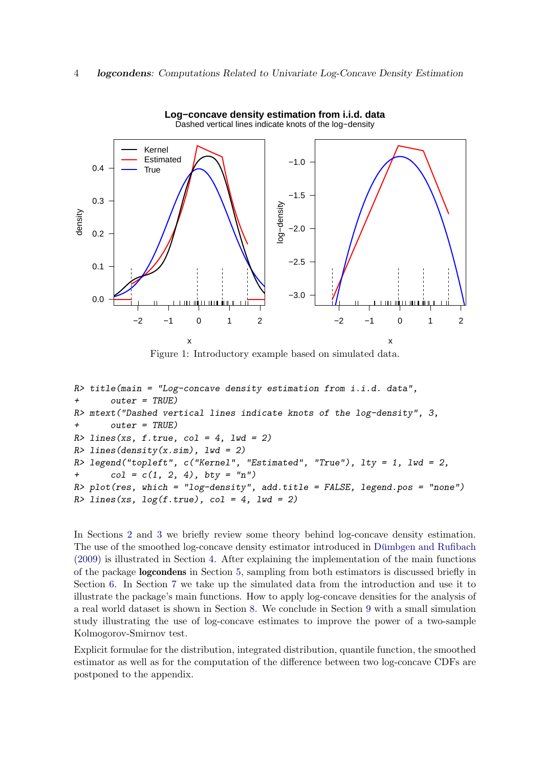

<span id="page-3-0"></span>Figure 1: Introductory example based on simulated data.

```
R> title(main = "Log-concave density estimation from i.i.d. data",
+ outer = TRUE)
R> mtext("Dashed vertical lines indicate knots of the log-density", 3,
+ outer = TRUE)
R > lines(xs, f.true, col = 4, lwd = 2)
R > 1ines(density(x.sim), 1wd = 2)
R> legend("topleft", c("Kernel", "Estimated", "True"), lty = 1, lwd = 2,
+ col = c(1, 2, 4), bty = "n")R> plot(res, which = "log-density", add.title = FALSE, legend.pos = "none")
R > lines(xs, log(f.true), col = 4, lwd = 2)
```
In Sections [2](#page-4-0) and [3](#page-6-0) we briefly review some theory behind log-concave density estimation. The use of the smoothed log-concave density estimator introduced in Dümbgen and Rufibach [\(2009\)](#page-25-1) is illustrated in Section [4.](#page-7-0) After explaining the implementation of the main functions of the package logcondens in Section [5,](#page-8-0) sampling from both estimators is discussed briefly in Section [6.](#page-9-0) In Section [7](#page-10-0) we take up the simulated data from the introduction and use it to illustrate the package's main functions. How to apply log-concave densities for the analysis of a real world dataset is shown in Section [8.](#page-11-0) We conclude in Section [9](#page-15-0) with a small simulation study illustrating the use of log-concave estimates to improve the power of a two-sample Kolmogorov-Smirnov test.

Explicit formulae for the distribution, integrated distribution, quantile function, the smoothed estimator as well as for the computation of the difference between two log-concave CDFs are postponed to the appendix.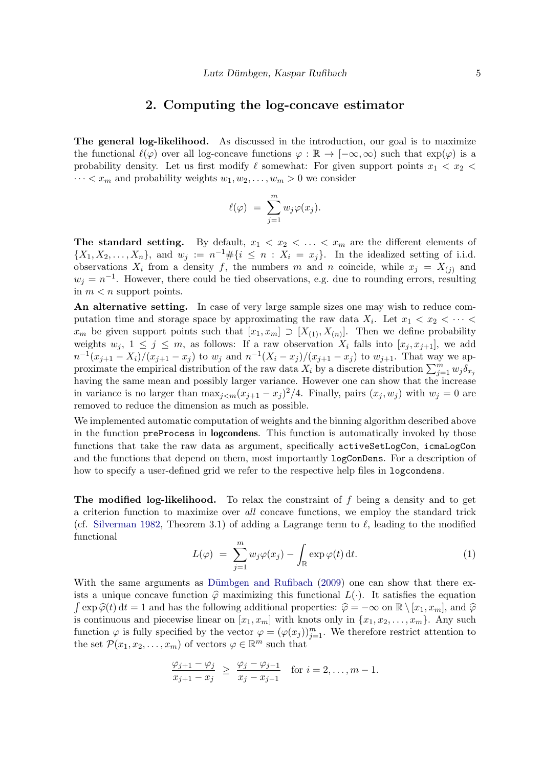#### 2. Computing the log-concave estimator

<span id="page-4-0"></span>The general log-likelihood. As discussed in the introduction, our goal is to maximize the functional  $\ell(\varphi)$  over all log-concave functions  $\varphi : \mathbb{R} \to [-\infty, \infty)$  such that  $\exp(\varphi)$  is a probability density. Let us first modify  $\ell$  somewhat: For given support points  $x_1 < x_2 <$  $\cdots < x_m$  and probability weights  $w_1, w_2, \ldots, w_m > 0$  we consider

$$
\ell(\varphi) = \sum_{j=1}^m w_j \varphi(x_j).
$$

The standard setting. By default,  $x_1 \leq x_2 \leq \ldots \leq x_m$  are the different elements of  $\{X_1, X_2, \ldots, X_n\},\$  and  $w_j := n^{-1} \# \{i \leq n : X_i = x_j\}.$  In the idealized setting of i.i.d. observations  $X_i$  from a density f, the numbers m and n coincide, while  $x_j = X_{(j)}$  and  $w_j = n^{-1}$ . However, there could be tied observations, e.g. due to rounding errors, resulting in  $m < n$  support points.

An alternative setting. In case of very large sample sizes one may wish to reduce computation time and storage space by approximating the raw data  $X_i$ . Let  $x_1 < x_2 < \cdots <$  $x_m$  be given support points such that  $[x_1, x_m] \supset [X_{(1)}, X_{(n)}]$ . Then we define probability weights  $w_j$ ,  $1 \leq j \leq m$ , as follows: If a raw observation  $X_i$  falls into  $[x_i, x_{i+1}]$ , we add  $n^{-1}(x_{j+1}-X_i)/(x_{j+1}-x_j)$  to  $w_j$  and  $n^{-1}(X_i-x_j)/(x_{j+1}-x_j)$  to  $w_{j+1}$ . That way we approximate the empirical distribution of the raw data  $X_i$  by a discrete distribution  $\sum_{j=1}^m w_j \delta_{x_j}$ having the same mean and possibly larger variance. However one can show that the increase in variance is no larger than  $\max_{j \leq m} (x_{j+1} - x_j)^2/4$ . Finally, pairs  $(x_j, w_j)$  with  $w_j = 0$  are removed to reduce the dimension as much as possible.

We implemented automatic computation of weights and the binning algorithm described above in the function preProcess in logcondens. This function is automatically invoked by those functions that take the raw data as argument, specifically activeSetLogCon, icmaLogCon and the functions that depend on them, most importantly logConDens. For a description of how to specify a user-defined grid we refer to the respective help files in logcondens.

<span id="page-4-1"></span>**The modified log-likelihood.** To relax the constraint of  $f$  being a density and to get a criterion function to maximize over all concave functions, we employ the standard trick (cf. [Silverman](#page-27-2) [1982,](#page-27-2) Theorem 3.1) of adding a Lagrange term to  $\ell$ , leading to the modified functional

$$
L(\varphi) = \sum_{j=1}^{m} w_j \varphi(x_j) - \int_{\mathbb{R}} \exp \varphi(t) dt.
$$
 (1)

With the same arguments as Dümbgen and Rufibach  $(2009)$  one can show that there exists a unique concave function  $\hat{\varphi}$  maximizing this functional  $L(\cdot)$ . It satisfies the equation  $\int \exp \hat{\varphi}(t) dt = 1$  and has the following additional properties:  $\hat{\varphi} = -\infty$  on  $\mathbb{R} \setminus [x_1, x_m]$ , and  $\hat{\varphi}$ is continuous and piecewise linear on  $[x_1, x_m]$  with knots only in  $\{x_1, x_2, \ldots, x_m\}$ . Any such function  $\varphi$  is fully specified by the vector  $\varphi = (\varphi(x_j))_{j=1}^m$ . We therefore restrict attention to the set  $\mathcal{P}(x_1, x_2, \ldots, x_m)$  of vectors  $\varphi \in \mathbb{R}^m$  such that

$$
\frac{\varphi_{j+1} - \varphi_j}{x_{j+1} - x_j} \ \geq \ \frac{\varphi_j - \varphi_{j-1}}{x_j - x_{j-1}} \quad \text{for } i = 2, \dots, m-1.
$$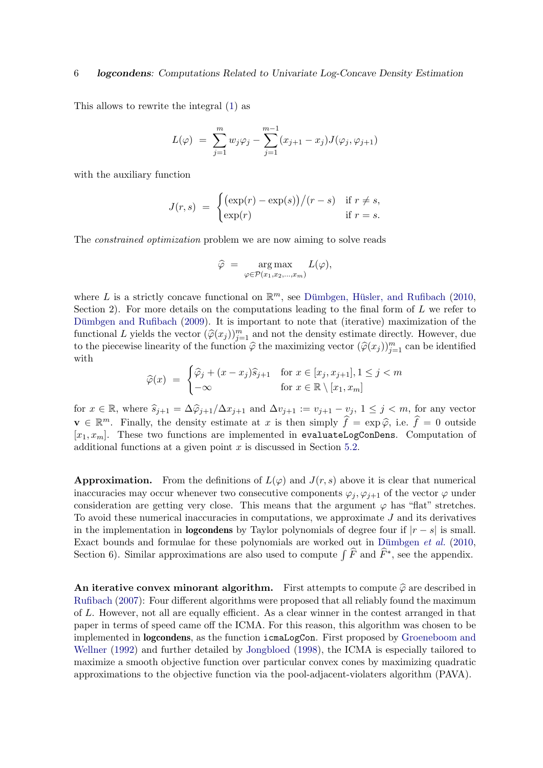#### 6 logcondens: Computations Related to Univariate Log-Concave Density Estimation

This allows to rewrite the integral [\(1\)](#page-4-1) as

$$
L(\varphi) = \sum_{j=1}^{m} w_j \varphi_j - \sum_{j=1}^{m-1} (x_{j+1} - x_j) J(\varphi_j, \varphi_{j+1})
$$

with the auxiliary function

$$
J(r,s) = \begin{cases} (\exp(r) - \exp(s))/(r - s) & \text{if } r \neq s, \\ \exp(r) & \text{if } r = s. \end{cases}
$$

The constrained optimization problem we are now aiming to solve reads

$$
\widehat{\varphi} = \arg \max_{\varphi \in \mathcal{P}(x_1, x_2, \dots, x_m)} L(\varphi),
$$

where L is a strictly concave functional on  $\mathbb{R}^m$ , see Dümbgen, Hüsler, and Rufibach [\(2010,](#page-25-7) Section 2). For more details on the computations leading to the final form of  $L$  we refer to Dümbgen and Rufibach [\(2009\)](#page-25-1). It is important to note that (iterative) maximization of the functional L yields the vector  $(\hat{\varphi}(x_j))_{j=1}^m$  and not the density estimate directly. However, due to the piecewise linearity of the function  $\hat{\varphi}$  the maximizing vector  $(\hat{\varphi}(x_j))_{j=1}^m$  can be identified with

$$
\widehat{\varphi}(x) = \begin{cases} \widehat{\varphi}_j + (x - x_j)\widehat{s}_{j+1} & \text{for } x \in [x_j, x_{j+1}], 1 \le j < m \\ -\infty & \text{for } x \in \mathbb{R} \setminus [x_1, x_m] \end{cases}
$$

for  $x \in \mathbb{R}$ , where  $\hat{s}_{j+1} = \Delta \hat{\varphi}_{j+1}/\Delta x_{j+1}$  and  $\Delta v_{j+1} := v_{j+1} - v_j$ ,  $1 \le j \le m$ , for any vector  $\mathbf{v} \in \mathbb{R}^m$ . Finally, the density estimate at x is then simply  $\hat{f} = \exp \hat{\varphi}$ , i.e.  $\hat{f} = 0$  outside  $[x_1, x_m]$ . These two functions are implemented in evaluateLogConDens. Computation of additional functions at a given point  $x$  is discussed in Section [5.2.](#page-9-1)

**Approximation.** From the definitions of  $L(\varphi)$  and  $J(r, s)$  above it is clear that numerical inaccuracies may occur whenever two consecutive components  $\varphi_j, \varphi_{j+1}$  of the vector  $\varphi$  under consideration are getting very close. This means that the argument  $\varphi$  has "flat" stretches. To avoid these numerical inaccuracies in computations, we approximate  $J$  and its derivatives in the implementation in **logcondens** by Taylor polynomials of degree four if  $|r - s|$  is small. Exact bounds and formulae for these polynomials are worked out in Dümbgen  $et$   $al.$  [\(2010,](#page-25-7) Section 6). Similar approximations are also used to compute  $\int \widehat{F}$  and  $\widehat{F}^*$ , see the appendix.

An iterative convex minorant algorithm. First attempts to compute  $\hat{\varphi}$  are described in [Rufibach](#page-26-7) [\(2007\)](#page-26-7): Four different algorithms were proposed that all reliably found the maximum of L. However, not all are equally efficient. As a clear winner in the contest arranged in that paper in terms of speed came off the ICMA. For this reason, this algorithm was chosen to be implemented in logcondens, as the function icmaLogCon. First proposed by [Groeneboom and](#page-26-8) [Wellner](#page-26-8) [\(1992\)](#page-26-8) and further detailed by [Jongbloed](#page-26-9) [\(1998\)](#page-26-9), the ICMA is especially tailored to maximize a smooth objective function over particular convex cones by maximizing quadratic approximations to the objective function via the pool-adjacent-violaters algorithm (PAVA).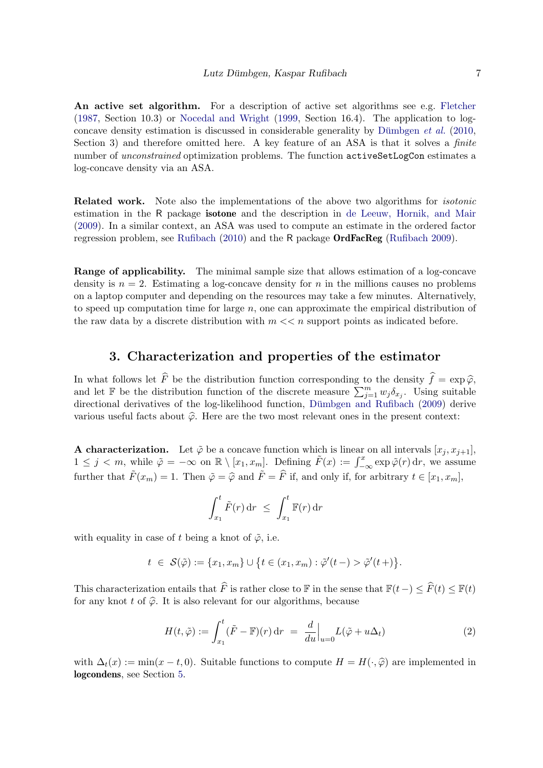An active set algorithm. For a description of active set algorithms see e.g. [Fletcher](#page-25-8) [\(1987,](#page-25-8) Section 10.3) or [Nocedal and Wright](#page-26-10) [\(1999,](#page-26-10) Section 16.4). The application to logconcave density estimation is discussed in considerable generality by Dümbgen  $et \ al.$  [\(2010,](#page-25-7) Section 3) and therefore omitted here. A key feature of an ASA is that it solves a *finite* number of *unconstrained* optimization problems. The function activeSetLogCon estimates a log-concave density via an ASA.

**Related work.** Note also the implementations of the above two algorithms for *isotonic* estimation in the R package isotone and the description in [de Leeuw, Hornik, and Mair](#page-25-9) [\(2009\)](#page-25-9). In a similar context, an ASA was used to compute an estimate in the ordered factor regression problem, see [Rufibach](#page-26-11) [\(2010\)](#page-26-11) and the R package OrdFacReg [\(Rufibach](#page-26-12) [2009\)](#page-26-12).

Range of applicability. The minimal sample size that allows estimation of a log-concave density is  $n = 2$ . Estimating a log-concave density for n in the millions causes no problems on a laptop computer and depending on the resources may take a few minutes. Alternatively, to speed up computation time for large  $n$ , one can approximate the empirical distribution of the raw data by a discrete distribution with  $m \ll n$  support points as indicated before.

#### 3. Characterization and properties of the estimator

<span id="page-6-0"></span>In what follows let  $\widehat{F}$  be the distribution function corresponding to the density  $\widehat{f} = \exp \widehat{\varphi}$ , and let F be the distribution function of the discrete measure  $\sum_{j=1}^{m} w_j \delta_{x_j}$ . Using suitable directional derivatives of the log-likelihood function, Dümbgen and Rufibach [\(2009\)](#page-25-1) derive various useful facts about  $\widehat{\varphi}$ . Here are the two most relevant ones in the present context:

A characterization. Let  $\tilde{\varphi}$  be a concave function which is linear on all intervals  $[x_i, x_{i+1}]$ ,  $1 \leq j < m$ , while  $\tilde{\varphi} = -\infty$  on  $\mathbb{R} \setminus [x_1, x_m]$ . Defining  $\tilde{F}(x) := \int_{-\infty}^x \exp \tilde{\varphi}(r) dr$ , we assume further that  $\tilde{F}(x_m) = 1$ . Then  $\tilde{\varphi} = \hat{\varphi}$  and  $\tilde{F} = \hat{F}$  if, and only if, for arbitrary  $t \in [x_1, x_m]$ ,

<span id="page-6-1"></span>
$$
\int_{x_1}^t \tilde{F}(r) dr \ \leq \ \int_{x_1}^t \mathbb{F}(r) dr
$$

with equality in case of t being a knot of  $\tilde{\varphi}$ , i.e.

$$
t \in \mathcal{S}(\tilde{\varphi}) := \{x_1, x_m\} \cup \{t \in (x_1, x_m) : \tilde{\varphi}'(t-) > \tilde{\varphi}'(t+) \}.
$$

This characterization entails that  $\widehat{F}$  is rather close to F in the sense that  $\mathbb{F}(t -) \leq \widehat{F}(t) \leq \mathbb{F}(t)$ for any knot t of  $\hat{\varphi}$ . It is also relevant for our algorithms, because

$$
H(t,\tilde{\varphi}) := \int_{x_1}^t (\tilde{F} - \mathbb{F})(r) dr = \frac{d}{du}\Big|_{u=0} L(\tilde{\varphi} + u\Delta_t)
$$
 (2)

with  $\Delta_t(x) := \min(x - t, 0)$ . Suitable functions to compute  $H = H(\cdot, \widehat{\varphi})$  are implemented in logcondens, see Section [5.](#page-8-0)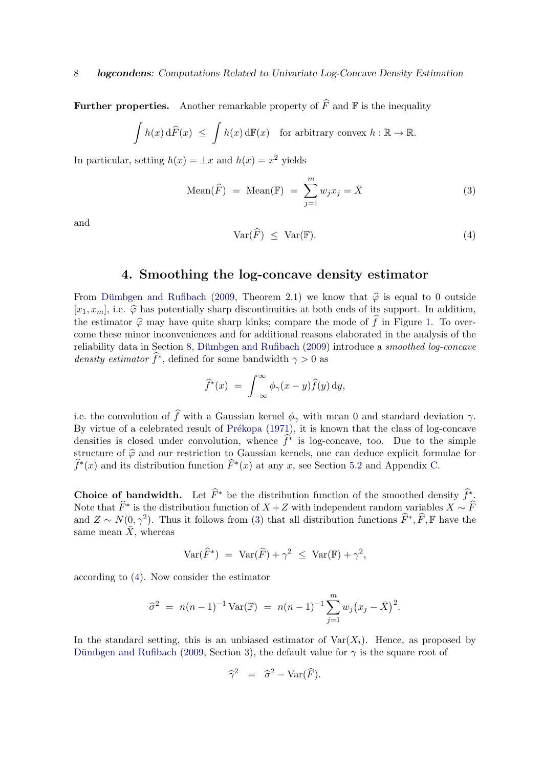**Further properties.** Another remarkable property of  $\widehat{F}$  and F is the inequality

$$
\int h(x) d\widehat{F}(x) \leq \int h(x) d\mathbb{F}(x) \text{ for arbitrary convex } h: \mathbb{R} \to \mathbb{R}.
$$

In particular, setting  $h(x) = \pm x$  and  $h(x) = x^2$  yields

Mean
$$
(\widehat{F})
$$
 = Mean( $\mathbb{F}$ ) =  $\sum_{j=1}^{m} w_j x_j = \overline{X}$  (3)

<span id="page-7-2"></span>and

<span id="page-7-1"></span>
$$
Var(\widehat{F}) \le Var(\mathbb{F}). \tag{4}
$$

### 4. Smoothing the log-concave density estimator

<span id="page-7-0"></span>From Dümbgen and Rufibach [\(2009,](#page-25-1) Theorem 2.1) we know that  $\hat{\varphi}$  is equal to 0 outside  $[x_1, x_m]$ , i.e.  $\hat{\varphi}$  has potentially sharp discontinuities at both ends of its support. In addition, the estimator  $\hat{\varphi}$  may have quite sharp kinks; compare the mode of  $\hat{f}$  in Figure [1.](#page-3-0) To overcome these minor inconveniences and for additional reasons elaborated in the analysis of the reliability data in Section [8,](#page-11-0) Dümbgen and Rufibach [\(2009\)](#page-25-1) introduce a smoothed log-concave density estimator  $\hat{f}^*$ , defined for some bandwidth  $\gamma > 0$  as

$$
\widehat{f}^*(x) = \int_{-\infty}^{\infty} \phi_{\gamma}(x - y) \widehat{f}(y) \, dy,
$$

i.e. the convolution of  $\widehat{f}$  with a Gaussian kernel  $\phi_{\gamma}$  with mean 0 and standard deviation  $\gamma$ . By virtue of a celebrated result of Prékopa [\(1971\)](#page-26-13), it is known that the class of log-concave densities is closed under convolution, whence  $\hat{f}^*$  is log-concave, too. Due to the simple structure of  $\hat{\varphi}$  and our restriction to Gaussian kernels, one can deduce explicit formulae for  $\widehat{f}^*(x)$  and its distribution function  $\widehat{F}^*(x)$  at any x, see Section [5.2](#page-9-1) and Appendix [C.](#page-21-0)

Choice of bandwidth. Let  $\widehat{F}^*$  be the distribution function of the smoothed density  $\widehat{f}^*$ . Note that  $\widehat{F}^*$  is the distribution function of  $X + Z$  with independent random variables  $X \sim \widehat{F}$ and  $Z \sim N(0, \gamma^2)$ . Thus it follows from [\(3\)](#page-7-1) that all distribution functions  $\widehat{F}^*, \widehat{F}, \mathbb{F}$  have the same mean  $\bar{X}$ , whereas

$$
\text{Var}(\widehat{F}^*) = \text{Var}(\widehat{F}) + \gamma^2 \leq \text{Var}(\mathbb{F}) + \gamma^2,
$$

according to [\(4\)](#page-7-2). Now consider the estimator

$$
\widehat{\sigma}^2 = n(n-1)^{-1} \operatorname{Var}(\mathbb{F}) = n(n-1)^{-1} \sum_{j=1}^m w_j (x_j - \bar{X})^2.
$$

In the standard setting, this is an unbiased estimator of  $\text{Var}(X_i)$ . Hence, as proposed by Dümbgen and Rufibach [\(2009,](#page-25-1) Section 3), the default value for  $\gamma$  is the square root of

$$
\widehat{\gamma}^2 = \widehat{\sigma}^2 - \text{Var}(\widehat{F}).
$$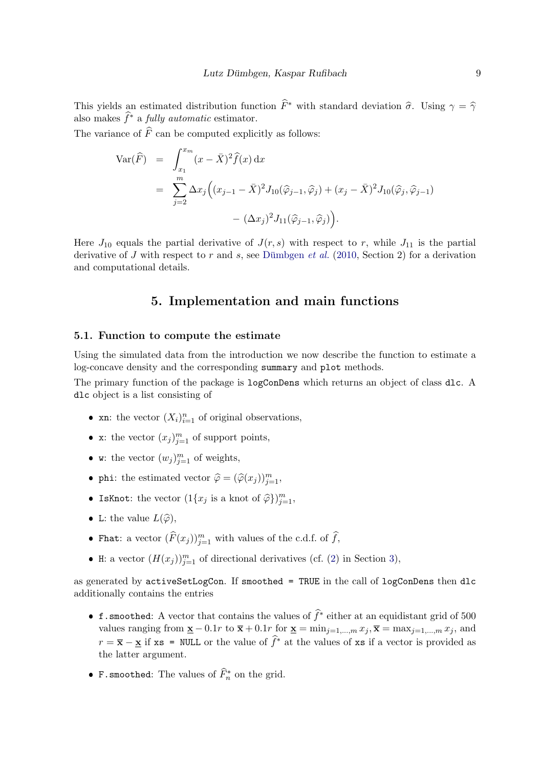This yields an estimated distribution function  $\hat{F}^*$  with standard deviation  $\hat{\sigma}$ . Using  $\gamma = \hat{\gamma}$ also makes  $\hat{f}^*$  a fully automatic estimator.

The variance of  $\widehat{F}$  can be computed explicitly as follows:

$$
\begin{split} \text{Var}(\widehat{F}) &= \int_{x_1}^{x_m} (x - \bar{X})^2 \widehat{f}(x) \, \mathrm{d}x \\ &= \sum_{j=2}^m \Delta x_j \Big( (x_{j-1} - \bar{X})^2 J_{10}(\widehat{\varphi}_{j-1}, \widehat{\varphi}_j) + (x_j - \bar{X})^2 J_{10}(\widehat{\varphi}_j, \widehat{\varphi}_{j-1}) \\ &- (\Delta x_j)^2 J_{11}(\widehat{\varphi}_{j-1}, \widehat{\varphi}_j) \Big). \end{split}
$$

Here  $J_{10}$  equals the partial derivative of  $J(r, s)$  with respect to r, while  $J_{11}$  is the partial derivative of J with respect to r and s, see Dümbgen *et al.* [\(2010,](#page-25-7) Section 2) for a derivation and computational details.

### 5. Implementation and main functions

#### <span id="page-8-0"></span>5.1. Function to compute the estimate

Using the simulated data from the introduction we now describe the function to estimate a log-concave density and the corresponding summary and plot methods.

The primary function of the package is logConDens which returns an object of class dlc. A dlc object is a list consisting of

- xn: the vector  $(X_i)_{i=1}^n$  of original observations,
- x: the vector  $(x_j)_{j=1}^m$  of support points,
- w: the vector  $(w_j)_{j=1}^m$  of weights,
- phi: the estimated vector  $\widehat{\varphi} = (\widehat{\varphi}(x_j))_{j=1}^m$ ,
- IsKnot: the vector  $(1\{x_j \text{ is a knot of } \hat{\varphi}\})_{j=1}^m$ ,
- L: the value  $L(\widehat{\varphi}),$
- Fhat: a vector  $(\widehat{F}(x_j))_{j=1}^m$  with values of the c.d.f. of  $\widehat{f}$ ,
- H: a vector  $(H(x_j))_{j=1}^m$  of directional derivatives (cf. [\(2\)](#page-6-1) in Section [3\)](#page-6-0),

as generated by activeSetLogCon. If smoothed = TRUE in the call of logConDens then dlc additionally contains the entries

- f.smoothed: A vector that contains the values of  $\hat{f}^*$  either at an equidistant grid of 500 values ranging from  $\underline{\mathbf{x}} - 0.1r$  to  $\overline{\mathbf{x}} + 0.1r$  for  $\underline{\mathbf{x}} = \min_{j=1,\dots,m} x_j$ ,  $\overline{\mathbf{x}} = \max_{j=1,\dots,m} x_j$ , and  $r = \bar{x} - x$  if xs = NULL or the value of  $\hat{f}^*$  at the values of xs if a vector is provided as the latter argument.
- F.smoothed: The values of  $\widehat{F}_n^*$  on the grid.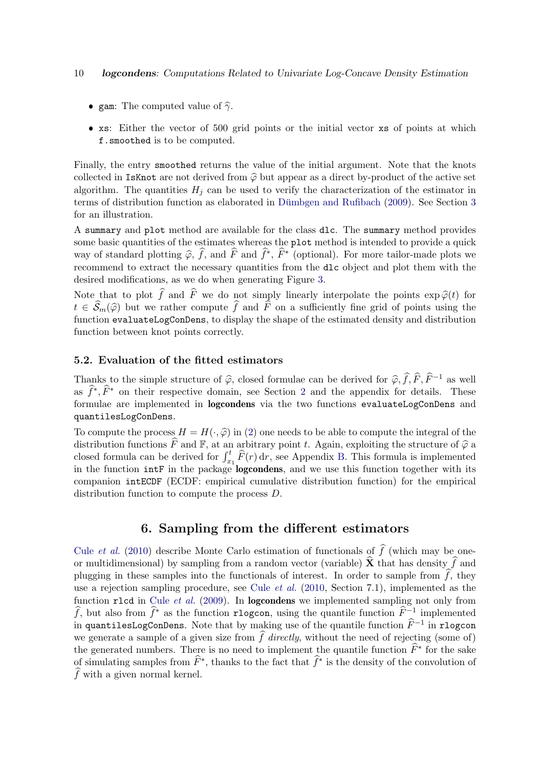- gam: The computed value of  $\hat{\gamma}$ .
- xs: Either the vector of 500 grid points or the initial vector xs of points at which f.smoothed is to be computed.

Finally, the entry smoothed returns the value of the initial argument. Note that the knots collected in IsKnot are not derived from  $\hat{\varphi}$  but appear as a direct by-product of the active set algorithm. The quantities  $H_i$  can be used to verify the characterization of the estimator in terms of distribution function as elaborated in Dümbgen and Rufibach  $(2009)$ . See Section [3](#page-6-0) for an illustration.

A summary and plot method are available for the class dlc. The summary method provides some basic quantities of the estimates whereas the plot method is intended to provide a quick way of standard plotting  $\hat{\varphi}$ ,  $\hat{f}$ , and  $\hat{F}$  and  $\hat{f}^*, \hat{F}^*$  (optional). For more tailor-made plots we<br>recommend to outpat the person we wantities from the dla chiest and plot them with the recommend to extract the necessary quantities from the dlc object and plot them with the desired modifications, as we do when generating Figure [3.](#page-14-0)

Note that to plot  $\hat{f}$  and  $\hat{F}$  we do not simply linearly interpolate the points  $\exp \hat{\varphi}(t)$  for  $t \in \widehat{\mathcal{S}}_m(\widehat{\varphi})$  but we rather compute  $\widehat{f}$  and  $\widehat{F}$  on a sufficiently fine grid of points using the function evaluateLogConDens, to display the shape of the estimated density and distribution function between knot points correctly.

#### <span id="page-9-1"></span>5.2. Evaluation of the fitted estimators

Thanks to the simple structure of  $\hat{\varphi}$ , closed formulae can be derived for  $\hat{\varphi}, \hat{f}, \hat{F}, \hat{F}^{-1}$  as well as  $\widehat{f}^*, \widehat{F}^*$  on their respective domain, see Section [2](#page-4-0) and the appendix for details. These formulae are implemented in logcondens via the two functions evaluateLogConDens and quantilesLogConDens.

To compute the process  $H = H(\cdot, \widehat{\varphi})$  in [\(2\)](#page-6-1) one needs to be able to compute the integral of the distribution functions  $\widehat{F}$  and  $\mathbb{F}$ , at an arbitrary point t. Again, exploiting the structure of  $\widehat{\varphi}$  a closed formula can be derived for  $\int_{x_1}^t \widehat{F}(r) dr$ , see Appendix [B.](#page-20-0) This formula is implemented in the function intF in the package logcondens, and we use this function together with its companion intECDF (ECDF: empirical cumulative distribution function) for the empirical distribution function to compute the process D.

### 6. Sampling from the different estimators

<span id="page-9-0"></span>Cule *[et al.](#page-25-6)* [\(2010\)](#page-25-6) describe Monte Carlo estimation of functionals of  $\hat{f}$  (which may be oneor multidimensional) by sampling from a random vector (variable)  $\hat{\mathbf{X}}$  that has density  $\hat{f}$  and plugging in these samples into the functionals of interest. In order to sample from  $f$ , they use a rejection sampling procedure, see Cule *[et al.](#page-25-6)* [\(2010,](#page-25-6) Section 7.1), implemented as the function r1cd in Cule *[et al.](#page-25-3)* [\(2009\)](#page-25-3). In **logcondens** we implemented sampling not only from f, but also from  $\hat{f}^*$  as the function rlogcon, using the quantile function  $\hat{F}^{-1}$  implemented in quantilesLogConDens. Note that by making use of the quantile function  $\widehat{F}^{-1}$  in rlogcon we generate a sample of a given size from  $\widehat{f}$  directly, without the need of rejecting (some of) the generated numbers. There is no need to implement the quantile function  $\widehat{F}^*$  for the sake of simulating samples from  $\widehat{F}^*$ , thanks to the fact that  $\widehat{f}^*$  is the density of the convolution of  $\widehat{f}$  with a given normal kernel.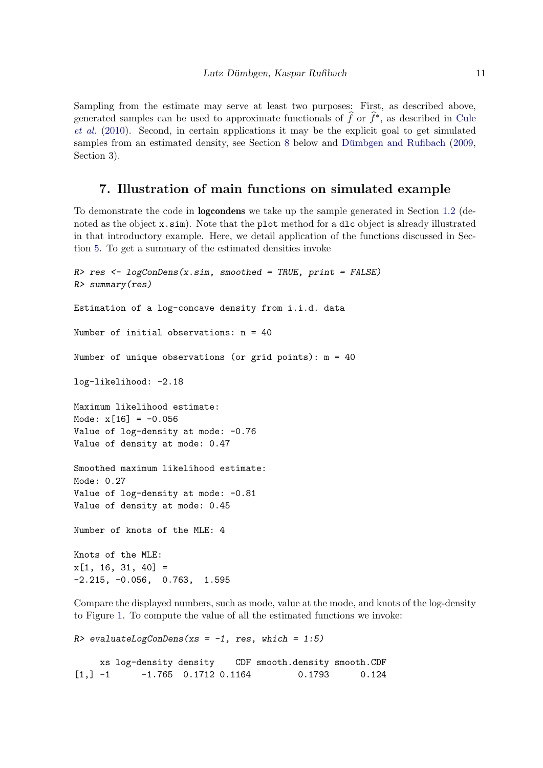Sampling from the estimate may serve at least two purposes: First, as described above, generated samples can be used to approximate functionals of  $\hat{f}$  or  $\hat{f}^*$ , as described in [Cule](#page-25-6) [et al.](#page-25-6) [\(2010\)](#page-25-6). Second, in certain applications it may be the explicit goal to get simulated samples from an estimated density, see Section  $8$  below and Dümbgen and Rufibach  $(2009,$ Section 3).

### 7. Illustration of main functions on simulated example

<span id="page-10-0"></span>To demonstrate the code in logcondens we take up the sample generated in Section [1.2](#page-1-0) (denoted as the object x.sim). Note that the plot method for a dlc object is already illustrated in that introductory example. Here, we detail application of the functions discussed in Section [5.](#page-8-0) To get a summary of the estimated densities invoke

```
R> res <- logConDens(x.sim, smoothed = TRUE, print = FALSE)
R> summary(res)
Estimation of a log-concave density from i.i.d. data
Number of initial observations: n = 40
Number of unique observations (or grid points): m = 40
log-likelihood: -2.18
Maximum likelihood estimate:
Mode: x[16] = -0.056Value of log-density at mode: -0.76
Value of density at mode: 0.47
Smoothed maximum likelihood estimate:
Mode: 0.27
Value of log-density at mode: -0.81
Value of density at mode: 0.45
Number of knots of the MLE: 4
Knots of the MLE:
x[1, 16, 31, 40] =-2.215, -0.056, 0.763, 1.595
```
Compare the displayed numbers, such as mode, value at the mode, and knots of the log-density to Figure [1.](#page-3-0) To compute the value of all the estimated functions we invoke:

```
R> evaluateLogConDens(xs = -1, res, which = 1:5)
    xs log-density density CDF smooth.density smooth.CDF
[1,] -1 -1.765 0.1712 0.1164 0.1793 0.124
```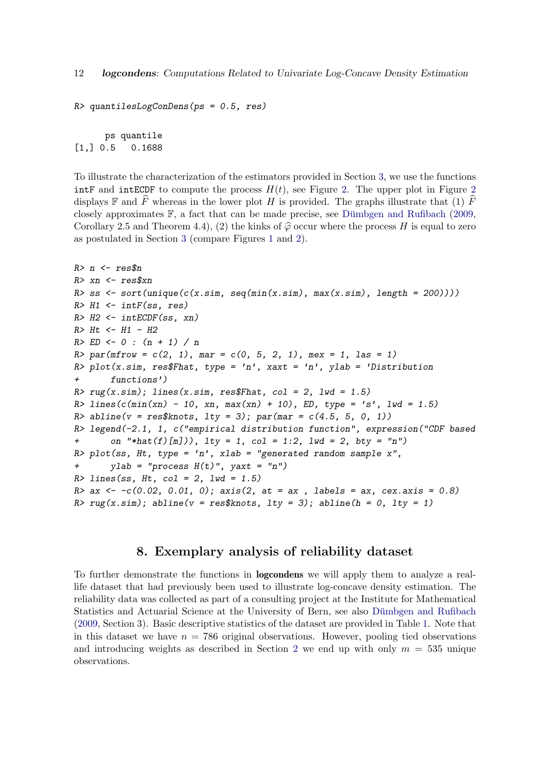```
R> quantilesLogConDens(ps = 0.5, res)
```

```
ps quantile
[1,] 0.5 0.1688
```
To illustrate the characterization of the estimators provided in Section [3,](#page-6-0) we use the functions intF and intECDF to compute the process  $H(t)$ , see Figure [2.](#page-12-0) The upper plot in Figure [2](#page-12-0) displays  $\mathbb F$  and F whereas in the lower plot H is provided. The graphs illustrate that (1) F closely approximates  $\mathbb{F}$ , a fact that can be made precise, see Dümbgen and Rufibach [\(2009,](#page-25-1) Corollary 2.5 and Theorem 4.4), (2) the kinks of  $\hat{\varphi}$  occur where the process H is equal to zero as postulated in Section [3](#page-6-0) (compare Figures [1](#page-3-0) and [2\)](#page-12-0).

```
R > n \leftarrow res\n
R> xn <- res$xn
R> ss \leftarrow sort(unique(c(x,sim, seq(min(x,sim), max(x,sim), length = 200))))R > H1 \leftarrow \inf F(ss, res)R> H2 <- intECDF(ss, xn)
R> Ht <- H1 - H2
R> ED \leftarrow 0 : (n + 1) / nR par(mfrow = c(2, 1), mar = c(0, 5, 2, 1), mex = 1, las = 1)
R> plot(x.sim, res$Fhat, type = 'n', xaxt = 'n', ylab = 'Distribution
+ functions')
R > rug(x,sim); lines(x.sim, res$Fhat, col = 2, lwd = 1.5)
R> lines(c(\min(\text{xn}) - 10, \text{xn}, \max(\text{xn}) + 10), ED, type = 's', lwd = 1.5)
R> abline(v = \text{res$knots, lty = 3); par(max = c(4.5, 5, 0, 1))R> legend(-2.1, 1, c("empirical distribution function", expression("CDF based
+ on "*hat(f)[m])), 1ty = 1, col = 1:2, 1wd = 2, bty = "n")R> plot(ss, Ht, type = 'n', xlab = "generated random sample x",
+ ylab = "process H(t)", yaxt = "n")R > lines(ss, Ht, col = 2, lwd = 1.5)
R > ax \leftarrow -c(0.02, 0.01, 0); axis(2, at = ax, labels = ax, cex.axis = 0.8)R> rug(x,sim); abline(v = res$knots, lty = 3); abline(h = 0, lty = 1)
```
#### 8. Exemplary analysis of reliability dataset

<span id="page-11-0"></span>To further demonstrate the functions in logcondens we will apply them to analyze a reallife dataset that had previously been used to illustrate log-concave density estimation. The reliability data was collected as part of a consulting project at the Institute for Mathematical Statistics and Actuarial Science at the University of Bern, see also Dümbgen and Rufibach [\(2009,](#page-25-1) Section 3). Basic descriptive statistics of the dataset are provided in Table [1.](#page-13-0) Note that in this dataset we have  $n = 786$  original observations. However, pooling tied observations and introducing weights as described in Section [2](#page-4-0) we end up with only  $m = 535$  unique observations.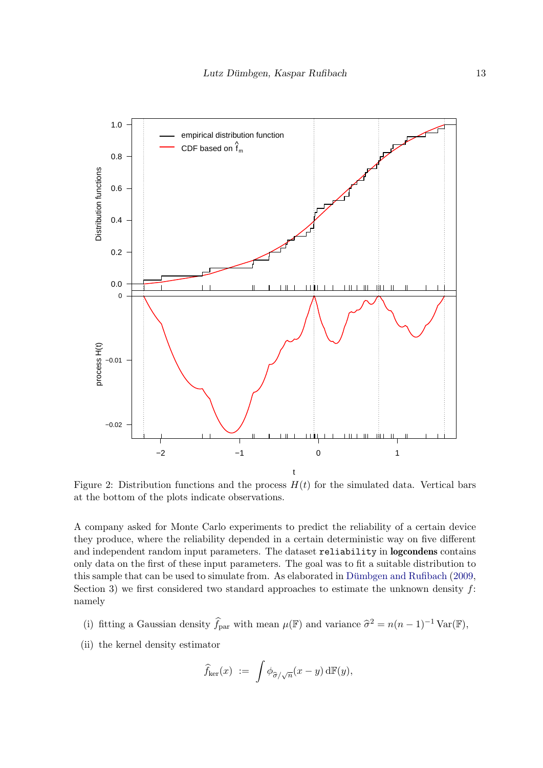

<span id="page-12-0"></span>Figure 2: Distribution functions and the process  $H(t)$  for the simulated data. Vertical bars at the bottom of the plots indicate observations.

A company asked for Monte Carlo experiments to predict the reliability of a certain device they produce, where the reliability depended in a certain deterministic way on five different and independent random input parameters. The dataset reliability in logcondens contains only data on the first of these input parameters. The goal was to fit a suitable distribution to this sample that can be used to simulate from. As elaborated in Dümbgen and Rufibach  $(2009,$ Section 3) we first considered two standard approaches to estimate the unknown density  $f$ : namely

- (i) fitting a Gaussian density  $\hat{f}_{\text{par}}$  with mean  $\mu(\mathbb{F})$  and variance  $\hat{\sigma}^2 = n(n-1)^{-1} \text{Var}(\mathbb{F}),$
- (ii) the kernel density estimator

$$
\widehat{f}_{\rm ker}(x) := \int \phi_{\widehat{\sigma}/\sqrt{n}}(x-y) \, d\mathbb{F}(y),
$$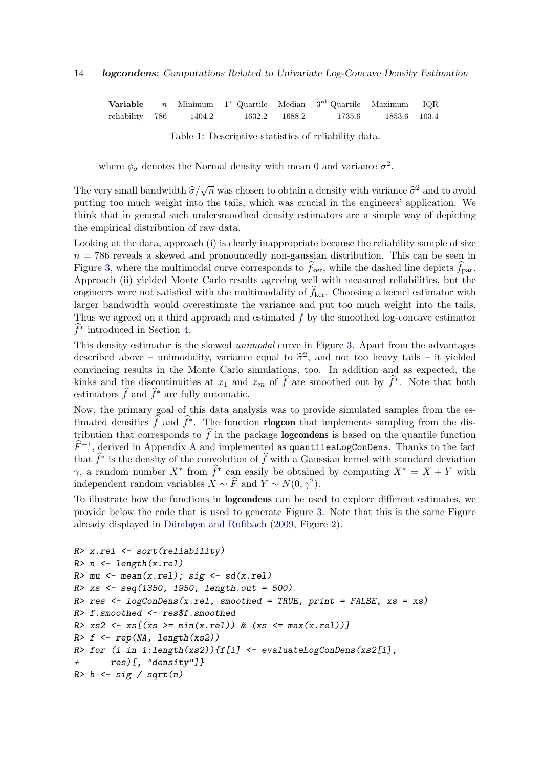**Variable** n Minimum  $1^{st}$  Quartile Median  $3^{rd}$  Quartile Maximum IQR reliability 786 1404.2 1632.2 1688.2 1735.6 1853.6 103.4

<span id="page-13-0"></span>

|  | Table 1: Descriptive statistics of reliability data. |  |  |  |  |
|--|------------------------------------------------------|--|--|--|--|
|--|------------------------------------------------------|--|--|--|--|

where  $\phi_{\sigma}$  denotes the Normal density with mean 0 and variance  $\sigma^2$ .

The very small bandwidth  $\hat{\sigma}/\sqrt{n}$  was chosen to obtain a density with variance  $\hat{\sigma}^2$  and to avoid putting too much work into the tails, which was crucial in the engineers' application. We putting too much weight into the tails, which was crucial in the engineers' application. We think that in general such undersmoothed density estimators are a simple way of depicting the empirical distribution of raw data.

Looking at the data, approach (i) is clearly inappropriate because the reliability sample of size  $n = 786$  reveals a skewed and pronouncedly non-gaussian distribution. This can be seen in Figure [3,](#page-14-0) where the multimodal curve corresponds to  $f_{\text{ker}}$ , while the dashed line depicts  $f_{\text{par}}$ . Approach (ii) yielded Monte Carlo results agreeing well with measured reliabilities, but the engineers were not satisfied with the multimodality of  $f_{\text{ker}}$ . Choosing a kernel estimator with larger bandwidth would overestimate the variance and put too much weight into the tails. Thus we agreed on a third approach and estimated  $f$  by the smoothed log-concave estimator  $\widehat{f}^*$  introduced in Section [4.](#page-7-0)

This density estimator is the skewed *unimodal* curve in Figure [3.](#page-14-0) Apart from the advantages described above – unimodality, variance equal to  $\hat{\sigma}^2$ , and not too heavy tails – it yielded<br>convincing results in the Monte Carlo simulations, too. In addition and as expected, the convincing results in the Monte Carlo simulations, too. In addition and as expected, the kinks and the discontinuities at  $x_1$  and  $x_m$  of  $\widehat{f}$  are smoothed out by  $\widehat{f}^*$ . Note that both estimators  $\widehat{f}$  and  $\widehat{f}^*$  are fully automatic.

Now, the primary goal of this data analysis was to provide simulated samples from the estimated densities  $\hat{f}$  and  $\hat{f}^*$ . The function **rlogcon** that implements sampling from the distribution that corresponds to  $\widehat{f}$  in the package **logcondens** is based on the quantile function  $\widehat{F}^{-1}$ , derived in [A](#page-19-0)ppendix A and implemented as quantilesLogConDens. Thanks to the fact that  $\hat{f}^*$  is the density of the convolution of  $\hat{f}$  with a Gaussian kernel with standard deviation  $\gamma$ , a random number  $X^*$  from  $\widehat{f}^*$  can easily be obtained by computing  $X^* = X + Y$  with independent random variables  $X \sim \widehat{F}$  and  $Y \sim N(0, \gamma^2)$ .

To illustrate how the functions in logcondens can be used to explore different estimates, we provide below the code that is used to generate Figure [3.](#page-14-0) Note that this is the same Figure already displayed in Dümbgen and Rufibach  $(2009,$  Figure 2).

```
R> x.rel <- sort(reliability)
R> n \leftarrow length(x.rel)R> mu <- mean(x, rel); sig <- sd(x, rel)R> xs <- seq(1350, 1950, length.out = 500)
R> res <- logConDens(x.rel, smoothed = TRUE, print = FALSE, xs = xs)
R> f.smoothed <- res$f.smoothed
R > xs2 \leftarrow xs[(xs >= min(x, rel)) & (xs <= max(x, rel))]R> f \leftarrow rep(MA, length(xs2))R> for (i in 1:length(xs2)){f[i] <- evaluateLogConDens(xs2[i],
       res)[, "density"]}
R> h \leftarrow sig / sqrt(n)
```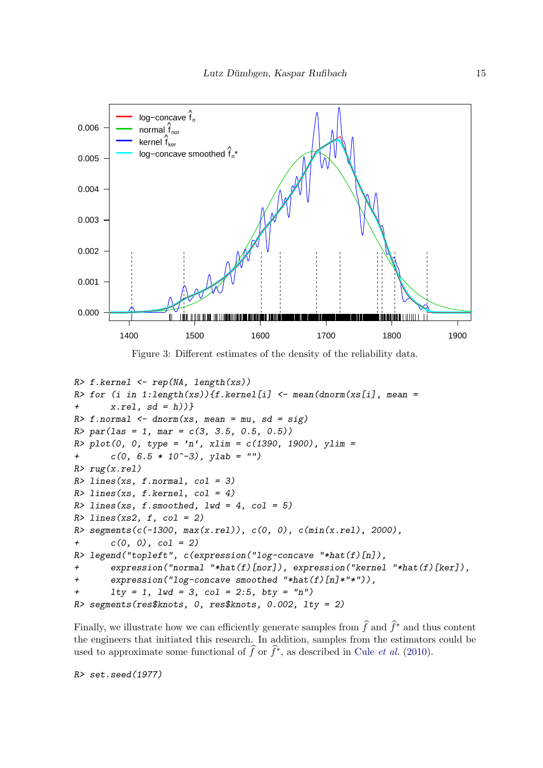

<span id="page-14-0"></span>Figure 3: Different estimates of the density of the reliability data.

```
R> f.kernel <- rep(NA, length(xs))
R> for (i in 1:length(xs)){f.kernel[i] \leq mean(dnorm(xs[i], mean =
+ x.rel. sd = h)R > f. normal \leq dnorm(xs, mean = mu, sd = sig)
R > par(las = 1, mar = c(3, 3.5, 0.5, 0.5))R plot(0, 0, type = 'n', xlim = c(1390, 1900), ylim =
+ c(0, 6.5 * 10^{\degree}-3), ylab = "")
R> rug(x.rel)R > lines(xs, f.normal, col = 3)
R > lines(xs, f.kernel, col = 4)
R > lines(xs, f.smoothed, lwd = 4, col = 5)
R > lines(xs2, f, col = 2)
R> segments(c(-1300, max(x.rel)), c(0, 0), c(min(x.rel), 2000),
+ c(0, 0), col = 2)R> legend("topleft", c(expression("log-concave "*hat(f)[n]),
       \alpha expression("normal "*hat(f)[nor]), expression("kernel "*hat(f)[ker]),
+ expression("log-concave smoothed "*hat(f)[n]*"*")),
       1ty = 1, 1wd = 3, col = 2:5, bty = "n")R> segments(res$knots, 0, res$knots, 0.002, lty = 2)
```
Finally, we illustrate how we can efficiently generate samples from  $\hat{f}$  and  $\hat{f}^*$  and thus content the engineers that initiated this research. In addition, samples from the estimators could be used to approximate some functional of  $\hat{f}$  or  $\hat{f}^*$ , as described in Cule *[et al.](#page-25-6)* [\(2010\)](#page-25-6).

R> set.seed(1977)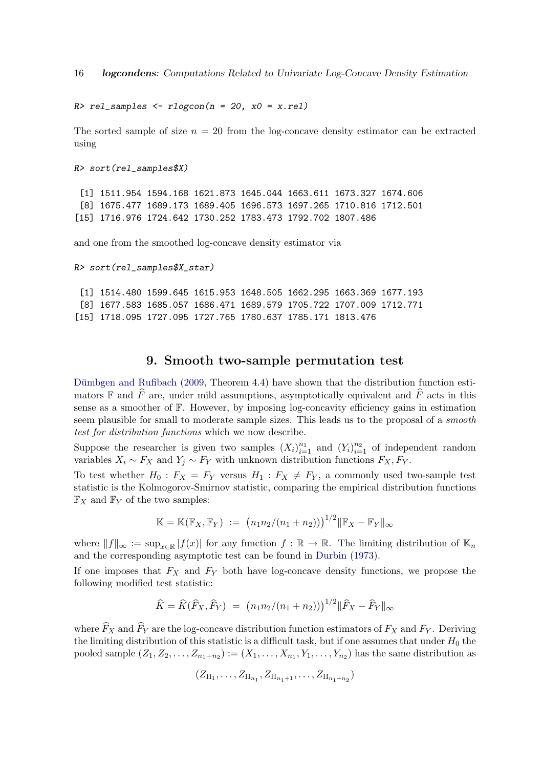16 logcondens: Computations Related to Univariate Log-Concave Density Estimation

 $R >$  rel\_samples  $\leq$  rlogcon(n = 20, x0 = x.rel)

The sorted sample of size  $n = 20$  from the log-concave density estimator can be extracted using

R> sort(rel\_samples\$X)

[1] 1511.954 1594.168 1621.873 1645.044 1663.611 1673.327 1674.606 [8] 1675.477 1689.173 1689.405 1696.573 1697.265 1710.816 1712.501 [15] 1716.976 1724.642 1730.252 1783.473 1792.702 1807.486

and one from the smoothed log-concave density estimator via

```
R> sort(rel_samples$X_star)
```
[1] 1514.480 1599.645 1615.953 1648.505 1662.295 1663.369 1677.193 [8] 1677.583 1685.057 1686.471 1689.579 1705.722 1707.009 1712.771 [15] 1718.095 1727.095 1727.765 1780.637 1785.171 1813.476

#### 9. Smooth two-sample permutation test

<span id="page-15-0"></span>Dümbgen and Rufibach  $(2009,$  Theorem 4.4) have shown that the distribution function estimators F and  $\widehat{F}$  are, under mild assumptions, asymptotically equivalent and  $\widehat{F}$  acts in this sense as a smoother of F. However, by imposing log-concavity efficiency gains in estimation seem plausible for small to moderate sample sizes. This leads us to the proposal of a smooth test for distribution functions which we now describe.

Suppose the researcher is given two samples  $(X_i)_{i=1}^{n_1}$  and  $(Y_i)_{i=1}^{n_2}$  of independent random variables  $X_i \sim F_X$  and  $Y_i \sim F_Y$  with unknown distribution functions  $F_X, F_Y$ .

To test whether  $H_0$ :  $F_X = F_Y$  versus  $H_1 : F_X \neq F_Y$ , a commonly used two-sample test statistic is the Kolmogorov-Smirnov statistic, comparing the empirical distribution functions  $\mathbb{F}_X$  and  $\mathbb{F}_Y$  of the two samples:

$$
\mathbb{K} = \mathbb{K}(\mathbb{F}_X, \mathbb{F}_Y) := (n_1 n_2/(n_1 + n_2)))^{1/2} \|\mathbb{F}_X - \mathbb{F}_Y\|_{\infty}
$$

where  $||f||_{\infty} := \sup_{x \in \mathbb{R}} |f(x)|$  for any function  $f : \mathbb{R} \to \mathbb{R}$ . The limiting distribution of  $\mathbb{K}_n$ and the corresponding asymptotic test can be found in [Durbin](#page-25-10) [\(1973\)](#page-25-10).

If one imposes that  $F_X$  and  $F_Y$  both have log-concave density functions, we propose the following modified test statistic:

$$
\widehat{K} = \widehat{K}(\widehat{F}_X, \widehat{F}_Y) = (n_1 n_2/(n_1 + n_2)))^{1/2} || \widehat{F}_X - \widehat{F}_Y ||_{\infty}
$$

where  $\widehat{F}_X$  and  $\widehat{F}_Y$  are the log-concave distribution function estimators of  $F_X$  and  $F_Y$ . Deriving the limiting distribution of this statistic is a difficult task, but if one assumes that under  $H_0$  the pooled sample  $(Z_1, Z_2, \ldots, Z_{n_1+n_2}) := (X_1, \ldots, X_{n_1}, Y_1, \ldots, Y_{n_2})$  has the same distribution as

$$
(Z_{\Pi_1}, \ldots, Z_{\Pi_{n_1}}, Z_{\Pi_{n_1+1}}, \ldots, Z_{\Pi_{n_1+n_2}})
$$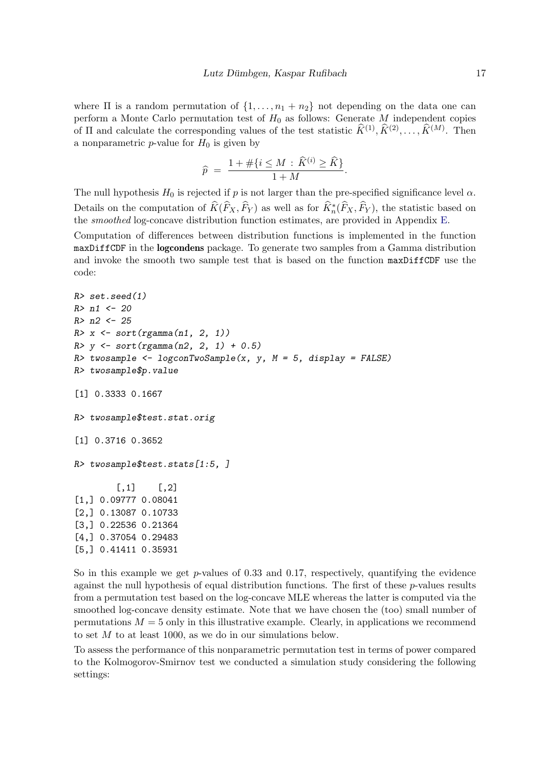where  $\Pi$  is a random permutation of  $\{1, \ldots, n_1 + n_2\}$  not depending on the data one can perform a Monte Carlo permutation test of  $H_0$  as follows: Generate M independent copies of  $\Pi$  and calculate the corresponding values of the test statistic  $\widehat{K}^{(1)}, \widehat{K}^{(2)}, \ldots, \widehat{K}^{(M)}$ . Then a nonparametric  $p$ -value for  $H_0$  is given by

$$
\widehat{p} = \frac{1 + \# \{ i \le M : \widehat{K}^{(i)} \ge \widehat{K} \}}{1 + M}.
$$

The null hypothesis  $H_0$  is rejected if p is not larger than the pre-specified significance level  $\alpha$ . Details on the computation of  $\widehat{K}(\widehat{F}_X, \widehat{F}_Y)$  as well as for  $\widehat{K}_n^*(\widehat{F}_X, \widehat{F}_Y)$ , the statistic based on the smoothed log-concave distribution function estimates, are provided in Appendix [E.](#page-23-0)

Computation of differences between distribution functions is implemented in the function maxDiffCDF in the logcondens package. To generate two samples from a Gamma distribution and invoke the smooth two sample test that is based on the function maxDiffCDF use the code:

```
R> set.seed(1)
R > n1 <- 20
R> n2 <- 25
R > x \leftarrow sort(rgamma(n1, 2, 1))R > y \leftarrow sort(rgamma(n2, 2, 1) + 0.5)R> twosample <- logconTwoSample(x, y, M = 5, display = FALSE)
R> twosample$p.value
[1] 0.3333 0.1667
R> twosample$test.stat.orig
[1] 0.3716 0.3652
R> twosample$test.stats[1:5, ]
        [,1] [,2][1,] 0.09777 0.08041
[2,] 0.13087 0.10733
[3,] 0.22536 0.21364
[4,] 0.37054 0.29483
[5,] 0.41411 0.35931
```
So in this example we get  $p$ -values of 0.33 and 0.17, respectively, quantifying the evidence against the null hypothesis of equal distribution functions. The first of these  $p$ -values results from a permutation test based on the log-concave MLE whereas the latter is computed via the smoothed log-concave density estimate. Note that we have chosen the (too) small number of permutations  $M = 5$  only in this illustrative example. Clearly, in applications we recommend to set  $M$  to at least 1000, as we do in our simulations below.

To assess the performance of this nonparametric permutation test in terms of power compared to the Kolmogorov-Smirnov test we conducted a simulation study considering the following settings: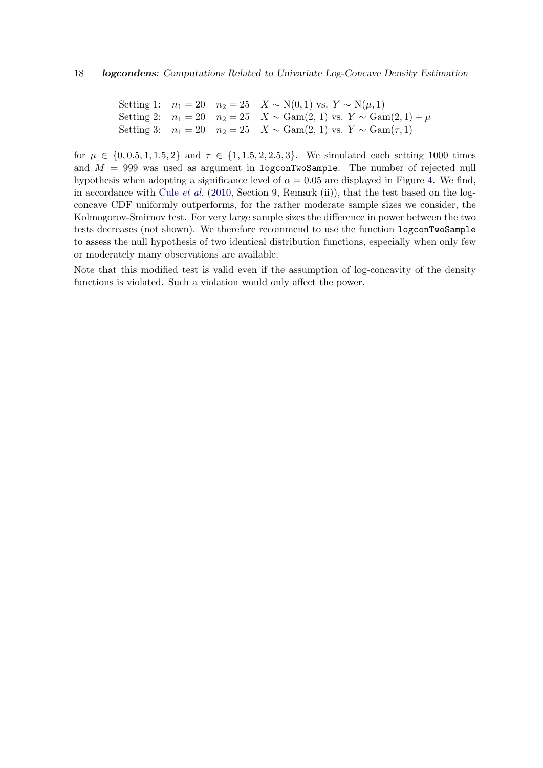Setting 1:  $n_1 = 20$   $n_2 = 25$   $X \sim N(0, 1)$  vs.  $Y \sim N(μ, 1)$ Setting 2:  $n_1 = 20$   $n_2 = 25$   $X \sim \text{Gam}(2, 1)$  vs.  $Y \sim \text{Gam}(2, 1) + \mu$ Setting 3:  $n_1 = 20$   $n_2 = 25$   $X \sim Gam(2, 1)$  vs.  $Y \sim Gam(τ, 1)$ 

for  $\mu \in \{0, 0.5, 1, 1.5, 2\}$  and  $\tau \in \{1, 1.5, 2, 2.5, 3\}$ . We simulated each setting 1000 times and  $M = 999$  was used as argument in logconTwoSample. The number of rejected null hypothesis when adopting a significance level of  $\alpha = 0.05$  are displayed in Figure [4.](#page-18-0) We find, in accordance with Cule [et al.](#page-25-6) [\(2010,](#page-25-6) Section 9, Remark (ii)), that the test based on the logconcave CDF uniformly outperforms, for the rather moderate sample sizes we consider, the Kolmogorov-Smirnov test. For very large sample sizes the difference in power between the two tests decreases (not shown). We therefore recommend to use the function logconTwoSample to assess the null hypothesis of two identical distribution functions, especially when only few or moderately many observations are available.

Note that this modified test is valid even if the assumption of log-concavity of the density functions is violated. Such a violation would only affect the power.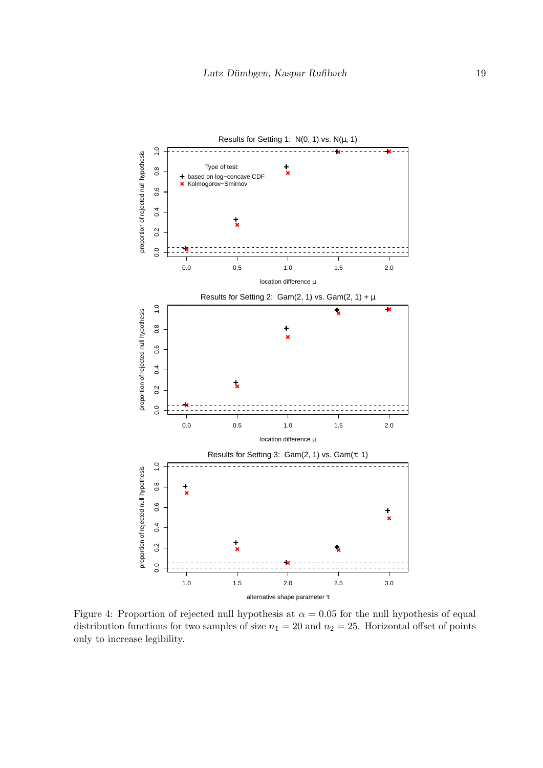

<span id="page-18-0"></span>Figure 4: Proportion of rejected null hypothesis at  $\alpha = 0.05$  for the null hypothesis of equal distribution functions for two samples of size  $n_1 = 20$  and  $n_2 = 25$ . Horizontal offset of points only to increase legibility.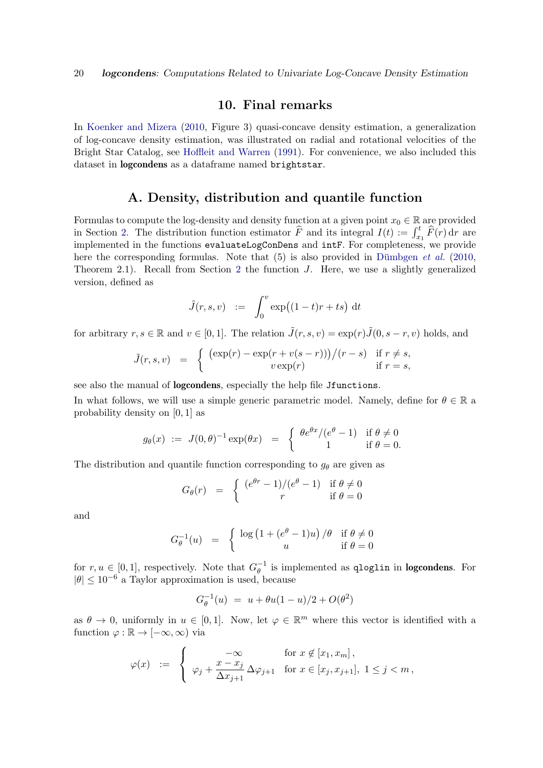#### 10. Final remarks

In [Koenker and Mizera](#page-26-1) [\(2010,](#page-26-1) Figure 3) quasi-concave density estimation, a generalization of log-concave density estimation, was illustrated on radial and rotational velocities of the Bright Star Catalog, see [Hoffleit and Warren](#page-26-14) [\(1991\)](#page-26-14). For convenience, we also included this dataset in logcondens as a dataframe named brightstar.

### A. Density, distribution and quantile function

<span id="page-19-0"></span>Formulas to compute the log-density and density function at a given point  $x_0 \in \mathbb{R}$  are provided in Section [2.](#page-4-0) The distribution function estimator  $\widehat{F}$  and its integral  $I(t) := \int_{x_1}^t \widehat{F}(r) dr$  are implemented in the functions evaluateLogConDens and intF. For completeness, we provide here the corresponding formulas. Note that  $(5)$  is also provided in Dümbgen *et al.* [\(2010,](#page-25-7) Theorem 2.1). Recall from Section [2](#page-4-0) the function J. Here, we use a slightly generalized version, defined as

$$
\tilde{J}(r,s,v) \quad := \quad \int_0^v \exp\bigl((1-t)r+ts\bigr) \, \mathrm{d}t
$$

for arbitrary  $r, s \in \mathbb{R}$  and  $v \in [0, 1]$ . The relation  $\tilde{J}(r, s, v) = \exp(r)\tilde{J}(0, s - r, v)$  holds, and

$$
\tilde{J}(r,s,v) = \begin{cases}\n(\exp(r) - \exp(r + v(s-r)))/(r-s) & \text{if } r \neq s, \\
v \exp(r) & \text{if } r = s,\n\end{cases}
$$

see also the manual of logcondens, especially the help file Jfunctions.

In what follows, we will use a simple generic parametric model. Namely, define for  $\theta \in \mathbb{R}$  a probability density on [0, 1] as

$$
g_{\theta}(x) := J(0,\theta)^{-1} \exp(\theta x) = \begin{cases} \theta e^{\theta x} / (e^{\theta} - 1) & \text{if } \theta \neq 0 \\ 1 & \text{if } \theta = 0. \end{cases}
$$

The distribution and quantile function corresponding to  $g_{\theta}$  are given as

$$
G_{\theta}(r) = \begin{cases} (e^{\theta r} - 1)/(e^{\theta} - 1) & \text{if } \theta \neq 0 \\ r & \text{if } \theta = 0 \end{cases}
$$

and

$$
G_{\theta}^{-1}(u) = \begin{cases} \log (1 + (e^{\theta} - 1)u) / \theta & \text{if } \theta \neq 0 \\ u & \text{if } \theta = 0 \end{cases}
$$

for  $r, u \in [0, 1]$ , respectively. Note that  $G_{\theta}^{-1}$  $\theta^{-1}$  is implemented as qloglin in logcondens. For  $|\theta|$  ≤ 10<sup>-6</sup> a Taylor approximation is used, because

$$
G_{\theta}^{-1}(u) = u + \theta u (1 - u)/2 + O(\theta^2)
$$

as  $\theta \to 0$ , uniformly in  $u \in [0,1]$ . Now, let  $\varphi \in \mathbb{R}^m$  where this vector is identified with a function  $\varphi : \mathbb{R} \to [-\infty, \infty)$  via

$$
\varphi(x) \quad := \quad \left\{ \begin{array}{ll} -\infty & \text{for } x \notin [x_1, x_m], \\ \varphi_j + \frac{x - x_j}{\Delta x_{j+1}} \, \Delta \varphi_{j+1} & \text{for } x \in [x_j, x_{j+1}], \ 1 \leq j < m, \end{array} \right.
$$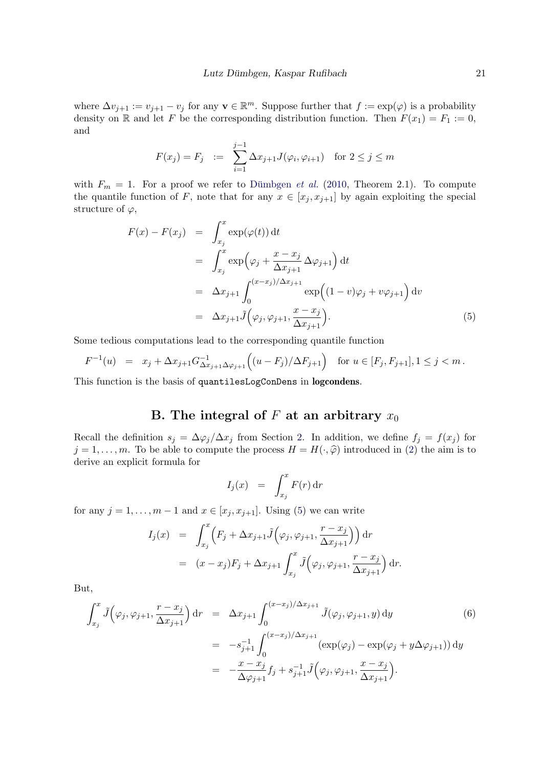where  $\Delta v_{j+1} := v_{j+1} - v_j$  for any  $\mathbf{v} \in \mathbb{R}^m$ . Suppose further that  $f := \exp(\varphi)$  is a probability density on R and let F be the corresponding distribution function. Then  $F(x_1) = F_1 := 0$ , and

$$
F(x_j) = F_j := \sum_{i=1}^{j-1} \Delta x_{j+1} J(\varphi_i, \varphi_{i+1})
$$
 for  $2 \le j \le m$ 

with  $F_m = 1$ . For a proof we refer to Dümbgen *et al.* [\(2010,](#page-25-7) Theorem 2.1). To compute the quantile function of F, note that for any  $x \in [x_j, x_{j+1}]$  by again exploiting the special structure of  $\varphi$ ,

<span id="page-20-1"></span>
$$
F(x) - F(x_j) = \int_{x_j}^x \exp(\varphi(t)) dt
$$
  
\n
$$
= \int_{x_j}^x \exp(\varphi_j + \frac{x - x_j}{\Delta x_{j+1}} \Delta \varphi_{j+1}) dt
$$
  
\n
$$
= \Delta x_{j+1} \int_0^{(x - x_j)/\Delta x_{j+1}} \exp((1 - v)\varphi_j + v\varphi_{j+1}) dv
$$
  
\n
$$
= \Delta x_{j+1} \tilde{J}(\varphi_j, \varphi_{j+1}, \frac{x - x_j}{\Delta x_{j+1}}).
$$
 (5)

Some tedious computations lead to the corresponding quantile function

$$
F^{-1}(u) = x_j + \Delta x_{j+1} G_{\Delta x_{j+1} \Delta \varphi_{j+1}}^{-1} \Big( (u - F_j) / \Delta F_{j+1} \Big) \text{ for } u \in [F_j, F_{j+1}], 1 \le j < m.
$$

This function is the basis of quantilesLogConDens in logcondens.

# B. The integral of F at an arbitrary  $x_0$

<span id="page-20-0"></span>Recall the definition  $s_j = \Delta \varphi_j / \Delta x_j$  from Section [2.](#page-4-0) In addition, we define  $f_j = f(x_j)$  for  $j = 1, \ldots, m$ . To be able to compute the process  $H = H(\cdot, \widehat{\varphi})$  introduced in [\(2\)](#page-6-1) the aim is to derive an explicit formula for

$$
I_j(x) = \int_{x_j}^x F(r) \, \mathrm{d}r
$$

for any  $j = 1, \ldots, m - 1$  and  $x \in [x_j, x_{j+1}]$ . Using [\(5\)](#page-20-1) we can write

$$
I_j(x) = \int_{x_j}^x \left( F_j + \Delta x_{j+1} \tilde{J}\left(\varphi_j, \varphi_{j+1}, \frac{r - x_j}{\Delta x_{j+1}}\right) \right) dr
$$
  

$$
= (x - x_j)F_j + \Delta x_{j+1} \int_{x_j}^x \tilde{J}\left(\varphi_j, \varphi_{j+1}, \frac{r - x_j}{\Delta x_{j+1}}\right) dr.
$$

But,

<span id="page-20-2"></span>
$$
\int_{x_j}^{x} \tilde{J}(\varphi_j, \varphi_{j+1}, \frac{r - x_j}{\Delta x_{j+1}}) dr = \Delta x_{j+1} \int_0^{(x - x_j)/\Delta x_{j+1}} \tilde{J}(\varphi_j, \varphi_{j+1}, y) dy
$$
\n
$$
= -s_{j+1}^{-1} \int_0^{(x - x_j)/\Delta x_{j+1}} (\exp(\varphi_j) - \exp(\varphi_j + y\Delta\varphi_{j+1})) dy
$$
\n
$$
= -\frac{x - x_j}{\Delta \varphi_{j+1}} f_j + s_{j+1}^{-1} \tilde{J}(\varphi_j, \varphi_{j+1}, \frac{x - x_j}{\Delta x_{j+1}}).
$$
\n(6)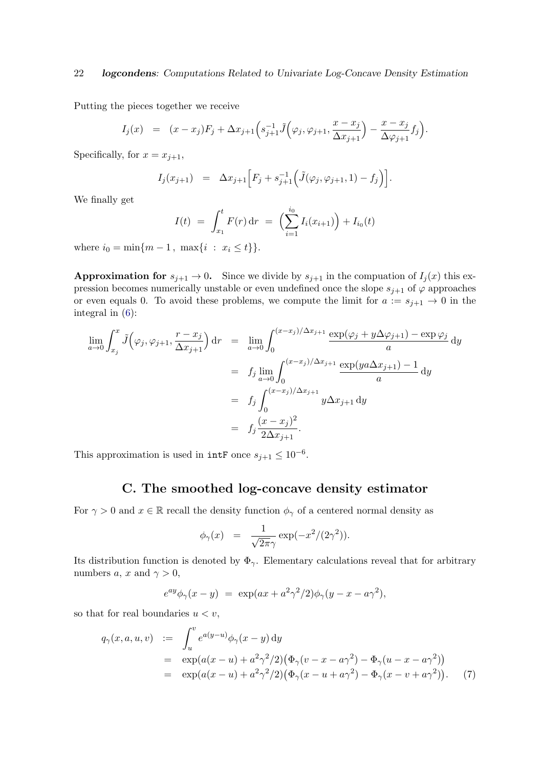Putting the pieces together we receive

$$
I_j(x) = (x - x_j)F_j + \Delta x_{j+1}\left(s_{j+1}^{-1}\tilde{J}\left(\varphi_j, \varphi_{j+1}, \frac{x - x_j}{\Delta x_{j+1}}\right) - \frac{x - x_j}{\Delta \varphi_{j+1}}f_j\right).
$$

Specifically, for  $x = x_{j+1}$ ,

$$
I_j(x_{j+1}) = \Delta x_{j+1} \Big[ F_j + s_{j+1}^{-1} \Big( \tilde{J}(\varphi_j, \varphi_{j+1}, 1) - f_j \Big) \Big].
$$

We finally get

$$
I(t) = \int_{x_1}^t F(r) dr = \left(\sum_{i=1}^{i_0} I_i(x_{i+1})\right) + I_{i_0}(t)
$$

where  $i_0 = \min\{m - 1, \ \max\{i : x_i \le t\}\}.$ 

**Approximation for**  $s_{j+1} \to 0$ . Since we divide by  $s_{j+1}$  in the compuation of  $I_j(x)$  this expression becomes numerically unstable or even undefined once the slope  $s_{j+1}$  of  $\varphi$  approaches or even equals 0. To avoid these problems, we compute the limit for  $a := s_{j+1} \to 0$  in the integral in [\(6\)](#page-20-2):

$$
\lim_{a \to 0} \int_{x_j}^x \tilde{J}\left(\varphi_j, \varphi_{j+1}, \frac{r - x_j}{\Delta x_{j+1}}\right) dr = \lim_{a \to 0} \int_0^{(x - x_j)/\Delta x_{j+1}} \frac{\exp(\varphi_j + y\Delta\varphi_{j+1}) - \exp\varphi_j}{a} dy
$$
  
\n
$$
= f_j \lim_{a \to 0} \int_0^{(x - x_j)/\Delta x_{j+1}} \frac{\exp(ya\Delta x_{j+1}) - 1}{a} dy
$$
  
\n
$$
= f_j \int_0^{(x - x_j)/\Delta x_{j+1}} y\Delta x_{j+1} dy
$$
  
\n
$$
= f_j \frac{(x - x_j)^2}{2\Delta x_{j+1}}.
$$

This approximation is used in  $\text{intF}$  once  $s_{j+1} \leq 10^{-6}$ .

## C. The smoothed log-concave density estimator

<span id="page-21-0"></span>For  $\gamma > 0$  and  $x \in \mathbb{R}$  recall the density function  $\phi_{\gamma}$  of a centered normal density as

$$
\phi_{\gamma}(x) = \frac{1}{\sqrt{2\pi}\gamma} \exp(-x^2/(2\gamma^2)).
$$

Its distribution function is denoted by  $\Phi_{\gamma}$ . Elementary calculations reveal that for arbitrary numbers a, x and  $\gamma > 0$ ,

$$
e^{ay}\phi_{\gamma}(x-y) = \exp(ax + a^2\gamma^2/2)\phi_{\gamma}(y - x - a\gamma^2),
$$

so that for real boundaries  $u < v$ ,

<span id="page-21-1"></span>
$$
q_{\gamma}(x, a, u, v) := \int_{u}^{v} e^{a(y-u)} \phi_{\gamma}(x - y) dy
$$
  
=  $\exp(a(x - u) + a^{2} \gamma^{2}/2) (\Phi_{\gamma}(v - x - a \gamma^{2}) - \Phi_{\gamma}(u - x - a \gamma^{2}))$   
=  $\exp(a(x - u) + a^{2} \gamma^{2}/2) (\Phi_{\gamma}(x - u + a \gamma^{2}) - \Phi_{\gamma}(x - v + a \gamma^{2}))$ . (7)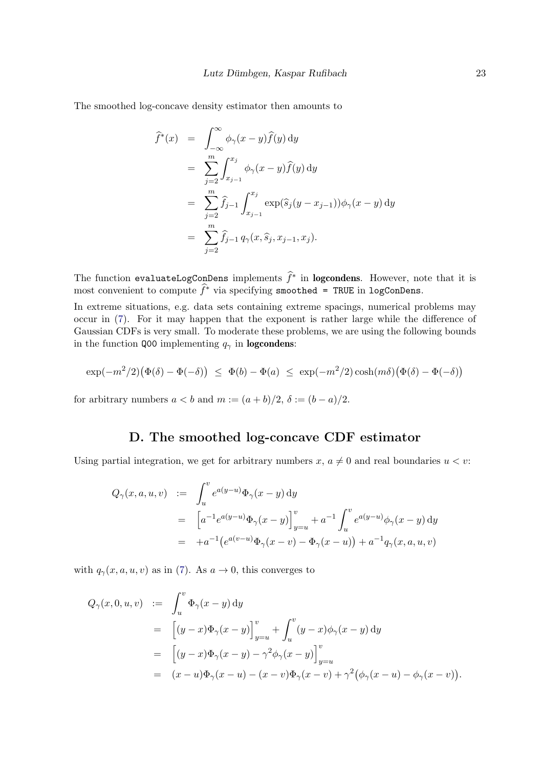The smoothed log-concave density estimator then amounts to

$$
\widehat{f}^*(x) = \int_{-\infty}^{\infty} \phi_{\gamma}(x - y) \widehat{f}(y) dy
$$
  
\n
$$
= \sum_{j=2}^{m} \int_{x_{j-1}}^{x_j} \phi_{\gamma}(x - y) \widehat{f}(y) dy
$$
  
\n
$$
= \sum_{j=2}^{m} \widehat{f}_{j-1} \int_{x_{j-1}}^{x_j} \exp(\widehat{s}_j(y - x_{j-1})) \phi_{\gamma}(x - y) dy
$$
  
\n
$$
= \sum_{j=2}^{m} \widehat{f}_{j-1} q_{\gamma}(x, \widehat{s}_j, x_{j-1}, x_j).
$$

The function evaluateLogConDens implements  $\hat{f}^*$  in logcondens. However, note that it is most convenient to compute  $\widehat{f}^*$  via specifying smoothed = TRUE in logConDens.

In extreme situations, e.g. data sets containing extreme spacings, numerical problems may occur in [\(7\)](#page-21-1). For it may happen that the exponent is rather large while the difference of Gaussian CDFs is very small. To moderate these problems, we are using the following bounds in the function Q00 implementing  $q_{\gamma}$  in **logcondens**:

$$
\exp(-m^2/2)\big(\Phi(\delta) - \Phi(-\delta)\big) \leq \Phi(b) - \Phi(a) \leq \exp(-m^2/2)\cosh(m\delta)\big(\Phi(\delta) - \Phi(-\delta)\big)
$$

for arbitrary numbers  $a < b$  and  $m := (a + b)/2$ ,  $\delta := (b - a)/2$ .

# D. The smoothed log-concave CDF estimator

Using partial integration, we get for arbitrary numbers  $x, a \neq 0$  and real boundaries  $u < v$ :

$$
Q_{\gamma}(x, a, u, v) := \int_{u}^{v} e^{a(y-u)} \Phi_{\gamma}(x - y) dy
$$
  
= 
$$
\left[ a^{-1} e^{a(y-u)} \Phi_{\gamma}(x - y) \right]_{y=u}^{v} + a^{-1} \int_{u}^{v} e^{a(y-u)} \phi_{\gamma}(x - y) dy
$$
  
= 
$$
+ a^{-1} (e^{a(v-u)} \Phi_{\gamma}(x - v) - \Phi_{\gamma}(x - u)) + a^{-1} q_{\gamma}(x, a, u, v)
$$

with  $q_{\gamma}(x, a, u, v)$  as in [\(7\)](#page-21-1). As  $a \to 0$ , this converges to

$$
Q_{\gamma}(x,0,u,v) := \int_{u}^{v} \Phi_{\gamma}(x-y) dy
$$
  
\n
$$
= \left[ (y-x)\Phi_{\gamma}(x-y) \right]_{y=u}^{v} + \int_{u}^{v} (y-x)\phi_{\gamma}(x-y) dy
$$
  
\n
$$
= \left[ (y-x)\Phi_{\gamma}(x-y) - \gamma^{2}\phi_{\gamma}(x-y) \right]_{y=u}^{v}
$$
  
\n
$$
= (x-u)\Phi_{\gamma}(x-u) - (x-v)\Phi_{\gamma}(x-v) + \gamma^{2}(\phi_{\gamma}(x-u) - \phi_{\gamma}(x-v)).
$$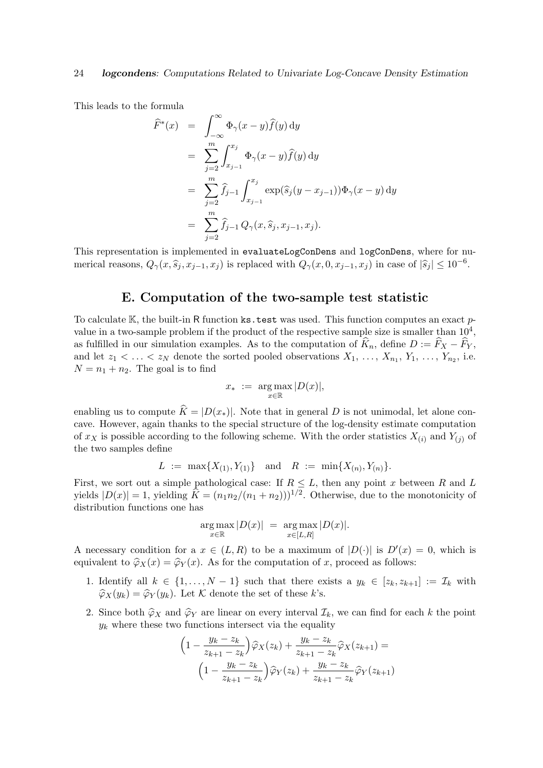This leads to the formula

$$
\widehat{F}^*(x) = \int_{-\infty}^{\infty} \Phi_{\gamma}(x - y) \widehat{f}(y) dy
$$
  
\n
$$
= \sum_{j=2}^m \int_{x_{j-1}}^{x_j} \Phi_{\gamma}(x - y) \widehat{f}(y) dy
$$
  
\n
$$
= \sum_{j=2}^m \widehat{f}_{j-1} \int_{x_{j-1}}^{x_j} \exp(\widehat{s}_j(y - x_{j-1})) \Phi_{\gamma}(x - y) dy
$$
  
\n
$$
= \sum_{j=2}^m \widehat{f}_{j-1} Q_{\gamma}(x, \widehat{s}_j, x_{j-1}, x_j).
$$

This representation is implemented in evaluateLogConDens and logConDens, where for numerical reasons,  $Q_{\gamma}(x, \hat{s}_j, x_{j-1}, x_j)$  is replaced with  $Q_{\gamma}(x, 0, x_{j-1}, x_j)$  in case of  $|\hat{s}_j| \leq 10^{-6}$ .

### E. Computation of the two-sample test statistic

<span id="page-23-0"></span>To calculate K, the built-in R function ks.test was used. This function computes an exact  $p$ value in a two-sample problem if the product of the respective sample size is smaller than  $10^4$ , as fulfilled in our simulation examples. As to the computation of  $\hat{K}_n$ , define  $D := \hat{F}_X - \hat{F}_Y$ , and let  $z_1 < \ldots < z_N$  denote the sorted pooled observations  $X_1, \ldots, X_{n_1}, Y_1, \ldots, Y_{n_2}$ , i.e.  $N = n_1 + n_2$ . The goal is to find

$$
x_* \ := \ \underset{x \in \mathbb{R}}{\arg \max} |D(x)|,
$$

enabling us to compute  $\hat{K} = |D(x_*)|$ . Note that in general D is not unimodal, let alone concave. However, again thanks to the special structure of the log-density estimate computation of  $x_X$  is possible according to the following scheme. With the order statistics  $X_{(i)}$  and  $Y_{(j)}$  of the two samples define

$$
L := \max\{X_{(1)}, Y_{(1)}\} \text{ and } R := \min\{X_{(n)}, Y_{(n)}\}.
$$

First, we sort out a simple pathological case: If  $R \leq L$ , then any point x between R and L yields  $|D(x)| = 1$ , yielding  $\hat{K} = (n_1n_2/(n_1 + n_2)))^{1/2}$ . Otherwise, due to the monotonicity of distribution functions one has

$$
\underset{x \in \mathbb{R}}{\arg \max} |D(x)| = \underset{x \in [L,R]}{\arg \max} |D(x)|.
$$

A necessary condition for a  $x \in (L, R)$  to be a maximum of  $|D(\cdot)|$  is  $D'(x) = 0$ , which is equivalent to  $\hat{\varphi}_X(x) = \hat{\varphi}_Y(x)$ . As for the computation of x, proceed as follows:

- 1. Identify all  $k \in \{1, ..., N-1\}$  such that there exists a  $y_k \in [z_k, z_{k+1}] := \mathcal{I}_k$  with  $\widehat{\varphi}_X(y_k) = \widehat{\varphi}_Y(y_k)$ . Let K denote the set of these k's.
- 2. Since both  $\hat{\varphi}_X$  and  $\hat{\varphi}_Y$  are linear on every interval  $\mathcal{I}_k$ , we can find for each k the point  $y_k$  where these two functions intersect via the equality

$$
\left(1 - \frac{y_k - z_k}{z_{k+1} - z_k}\right)\hat{\varphi}_X(z_k) + \frac{y_k - z_k}{z_{k+1} - z_k}\hat{\varphi}_X(z_{k+1}) =
$$

$$
\left(1 - \frac{y_k - z_k}{z_{k+1} - z_k}\right)\hat{\varphi}_Y(z_k) + \frac{y_k - z_k}{z_{k+1} - z_k}\hat{\varphi}_Y(z_{k+1})
$$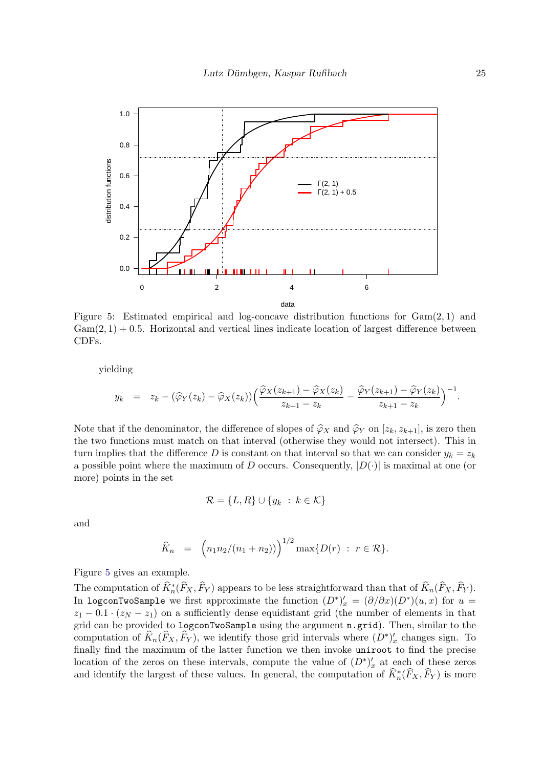

<span id="page-24-0"></span>Figure 5: Estimated empirical and log-concave distribution functions for  $Gam(2, 1)$  and  $Gam(2, 1) + 0.5$ . Horizontal and vertical lines indicate location of largest difference between CDFs.

yielding

$$
y_k = z_k - (\widehat{\varphi}_Y(z_k) - \widehat{\varphi}_X(z_k)) \Big( \frac{\widehat{\varphi}_X(z_{k+1}) - \widehat{\varphi}_X(z_k)}{z_{k+1} - z_k} - \frac{\widehat{\varphi}_Y(z_{k+1}) - \widehat{\varphi}_Y(z_k)}{z_{k+1} - z_k} \Big)^{-1}.
$$

Note that if the denominator, the difference of slopes of  $\hat{\varphi}_X$  and  $\hat{\varphi}_Y$  on  $[z_k, z_{k+1}]$ , is zero then the two functions must match on that interval (otherwise they would not intersect). This in turn implies that the difference D is constant on that interval so that we can consider  $y_k = z_k$ a possible point where the maximum of D occurs. Consequently,  $|D(\cdot)|$  is maximal at one (or more) points in the set

$$
\mathcal{R} = \{L, R\} \cup \{y_k \ : \ k \in \mathcal{K}\}
$$

and

$$
\widehat{K}_n = (n_1 n_2/(n_1 + n_2)))^{1/2} \max\{D(r) : r \in \mathcal{R}\}.
$$

Figure [5](#page-24-0) gives an example.

The computation of  $\widehat{K}^*_{n}(\widehat{F}_X, \widehat{F}_Y)$  appears to be less straightforward than that of  $\widehat{K}_n(\widehat{F}_X, \widehat{F}_Y)$ . In logconTwoSample we first approximate the function  $(D^*)'_x = (\partial/\partial x)(D^*)(u, x)$  for  $u =$  $z_1 - 0.1 \cdot (z_N - z_1)$  on a sufficiently dense equidistant grid (the number of elements in that grid can be provided to logconTwoSample using the argument n.grid). Then, similar to the computation of  $\widehat{K}_n(\widehat{F}_X, \widehat{F}_Y)$ , we identify those grid intervals where  $(D^*)'_x$  changes sign. To finally find the maximum of the latter function we then invoke uniroot to find the precise location of the zeros on these intervals, compute the value of  $(D^*)'_x$  at each of these zeros and identify the largest of these values. In general, the computation of  $\widehat{K}_n^*(\widehat{F}_X,\widehat{F}_Y)$  is more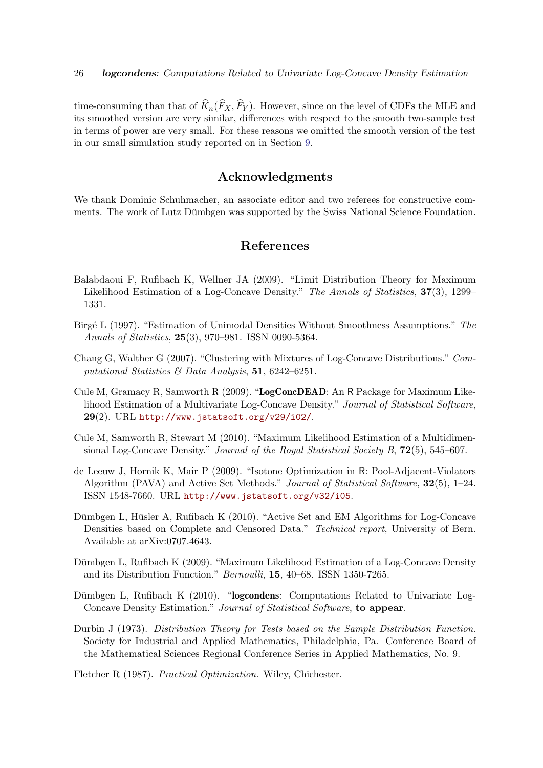time-consuming than that of  $\widehat{K}_n(\widehat{F}_X, \widehat{F}_Y)$ . However, since on the level of CDFs the MLE and its smoothed version are very similar, differences with respect to the smooth two-sample test in terms of power are very small. For these reasons we omitted the smooth version of the test in our small simulation study reported on in Section [9.](#page-15-0)

### Acknowledgments

We thank Dominic Schuhmacher, an associate editor and two referees for constructive comments. The work of Lutz Dümbgen was supported by the Swiss National Science Foundation.

### References

- <span id="page-25-2"></span>Balabdaoui F, Rufibach K, Wellner JA (2009). "Limit Distribution Theory for Maximum Likelihood Estimation of a Log-Concave Density." The Annals of Statistics, 37(3), 1299– 1331.
- <span id="page-25-4"></span>Birgé L (1997). "Estimation of Unimodal Densities Without Smoothness Assumptions." The Annals of Statistics, 25(3), 970–981. ISSN 0090-5364.
- <span id="page-25-5"></span>Chang G, Walther G (2007). "Clustering with Mixtures of Log-Concave Distributions." Computational Statistics & Data Analysis, 51, 6242-6251.
- <span id="page-25-3"></span>Cule M, Gramacy R, Samworth R (2009). "LogConcDEAD: An R Package for Maximum Likelihood Estimation of a Multivariate Log-Concave Density." Journal of Statistical Software,  $29(2)$ . URL <http://www.jstatsoft.org/v29/i02/>.
- <span id="page-25-6"></span>Cule M, Samworth R, Stewart M (2010). "Maximum Likelihood Estimation of a Multidimensional Log-Concave Density." Journal of the Royal Statistical Society B, 72(5), 545–607.
- <span id="page-25-9"></span>de Leeuw J, Hornik K, Mair P (2009). "Isotone Optimization in R: Pool-Adjacent-Violators Algorithm (PAVA) and Active Set Methods." Journal of Statistical Software, 32(5), 1–24. ISSN 1548-7660. URL <http://www.jstatsoft.org/v32/i05>.
- <span id="page-25-7"></span>Dümbgen L, Hüsler A, Rufibach K (2010). "Active Set and EM Algorithms for Log-Concave Densities based on Complete and Censored Data." Technical report, University of Bern. Available at arXiv:0707.4643.
- <span id="page-25-1"></span>Dümbgen L, Rufibach K (2009). "Maximum Likelihood Estimation of a Log-Concave Density and its Distribution Function." Bernoulli, 15, 40–68. ISSN 1350-7265.
- <span id="page-25-0"></span>Dümbgen L, Rufibach K  $(2010)$ . "logcondens: Computations Related to Univariate Log-Concave Density Estimation." Journal of Statistical Software, to appear.
- <span id="page-25-10"></span>Durbin J (1973). Distribution Theory for Tests based on the Sample Distribution Function. Society for Industrial and Applied Mathematics, Philadelphia, Pa. Conference Board of the Mathematical Sciences Regional Conference Series in Applied Mathematics, No. 9.

<span id="page-25-8"></span>Fletcher R (1987). Practical Optimization. Wiley, Chichester.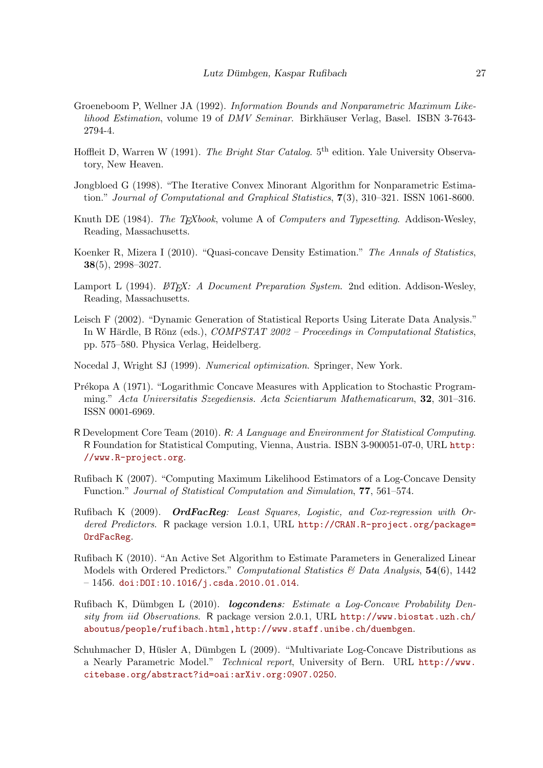- <span id="page-26-8"></span>Groeneboom P, Wellner JA (1992). Information Bounds and Nonparametric Maximum Likelihood Estimation, volume 19 of DMV Seminar. Birkhäuser Verlag, Basel. ISBN 3-7643-2794-4.
- <span id="page-26-14"></span>Hoffleit D, Warren W (1991). The Bright Star Catalog. 5<sup>th</sup> edition. Yale University Observatory, New Heaven.
- <span id="page-26-9"></span>Jongbloed G (1998). "The Iterative Convex Minorant Algorithm for Nonparametric Estimation." Journal of Computational and Graphical Statistics, 7(3), 310–321. ISSN 1061-8600.
- <span id="page-26-3"></span>Knuth DE (1984). The T<sub>E</sub>Xbook, volume A of Computers and Typesetting. Addison-Wesley, Reading, Massachusetts.
- <span id="page-26-1"></span>Koenker R, Mizera I (2010). "Quasi-concave Density Estimation." The Annals of Statistics, 38(5), 2998–3027.
- <span id="page-26-4"></span>Lamport L (1994).  $\cancel{BTRX: A}$  Document Preparation System. 2nd edition. Addison-Wesley, Reading, Massachusetts.
- <span id="page-26-2"></span>Leisch F (2002). "Dynamic Generation of Statistical Reports Using Literate Data Analysis." In W Härdle, B Rönz (eds.),  $COMPSTAT 2002 - Proceedings in Computational Statistics$ , pp. 575–580. Physica Verlag, Heidelberg.
- <span id="page-26-10"></span>Nocedal J, Wright SJ (1999). Numerical optimization. Springer, New York.
- <span id="page-26-13"></span>Prékopa A (1971). "Logarithmic Concave Measures with Application to Stochastic Programming." Acta Universitatis Szegediensis. Acta Scientiarum Mathematicarum, 32, 301–316. ISSN 0001-6969.
- <span id="page-26-5"></span>R Development Core Team (2010). R: A Language and Environment for Statistical Computing. R Foundation for Statistical Computing, Vienna, Austria. ISBN 3-900051-07-0, URL [http:](http://www.R-project.org) [//www.R-project.org](http://www.R-project.org).
- <span id="page-26-7"></span>Rufibach K (2007). "Computing Maximum Likelihood Estimators of a Log-Concave Density Function." Journal of Statistical Computation and Simulation, 77, 561–574.
- <span id="page-26-12"></span>Rufibach K (2009). OrdFacReg: Least Squares, Logistic, and Cox-regression with Ordered Predictors. R package version 1.0.1, URL [http://CRAN.R-project.org/package=](http://CRAN.R-project.org/package=OrdFacReg) [OrdFacReg](http://CRAN.R-project.org/package=OrdFacReg).
- <span id="page-26-11"></span>Rufibach K (2010). "An Active Set Algorithm to Estimate Parameters in Generalized Linear Models with Ordered Predictors." Computational Statistics & Data Analysis,  $54(6)$ , 1442  $-1456.$  [doi:DOI:10.1016/j.csda.2010.01.014](http://dx.doi.org/DOI: 10.1016/j.csda.2010.01.014).
- <span id="page-26-0"></span>Rufibach K, Dümbgen L (2010). *Logcondens: Estimate a Log-Concave Probability Den*sity from iid Observations. R package version 2.0.1, URL [http://www.biostat.uzh.ch/](http://www.biostat.uzh.ch/aboutus/people/rufibach.html , http://www.staff.unibe.ch/duembgen) [aboutus/people/rufibach.html,http://www.staff.unibe.ch/duembgen](http://www.biostat.uzh.ch/aboutus/people/rufibach.html , http://www.staff.unibe.ch/duembgen).
- <span id="page-26-6"></span>Schuhmacher D, Hüsler A, Dümbgen L  $(2009)$ . "Multivariate Log-Concave Distributions as a Nearly Parametric Model." Technical report, University of Bern. URL [http://www.](http://www.citebase.org/abstract?id=oai:arXiv.org:0907.0250) [citebase.org/abstract?id=oai:arXiv.org:0907.0250](http://www.citebase.org/abstract?id=oai:arXiv.org:0907.0250).